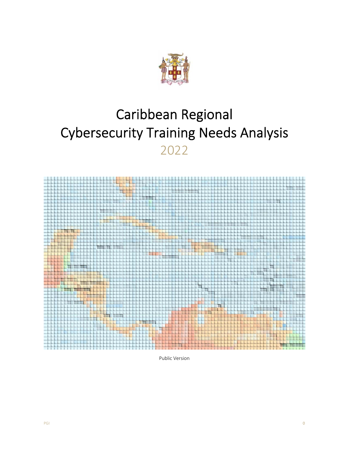

# Caribbean Regional Cybersecurity Training Needs Analysis 2022



Public Version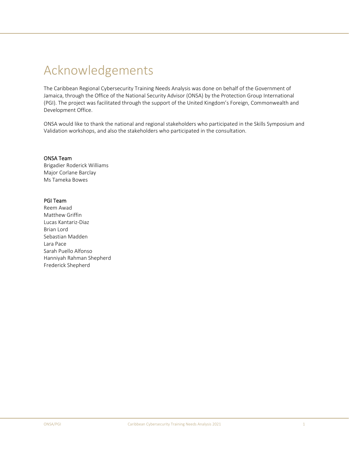## Acknowledgements

The Caribbean Regional Cybersecurity Training Needs Analysis was done on behalf of the Government of Jamaica, through the Office of the National Security Advisor (ONSA) by the Protection Group International (PGI). The project was facilitated through the support of the United Kingdom's Foreign, Commonwealth and Development Office.

ONSA would like to thank the national and regional stakeholders who participated in the Skills Symposium and Validation workshops, and also the stakeholders who participated in the consultation.

## ONSA Team

Brigadier Roderick Williams Major Corlane Barclay Ms Tameka Bowes

## PGI Team

Reem Awad Matthew Griffin Lucas Kantariz‐Diaz Brian Lord Sebastian Madden Lara Pace Sarah Puello Alfonso Hanniyah Rahman Shepherd Frederick Shepherd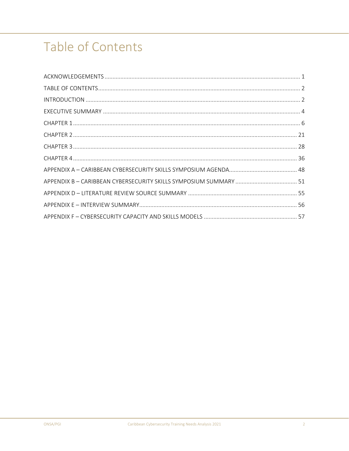# Table of Contents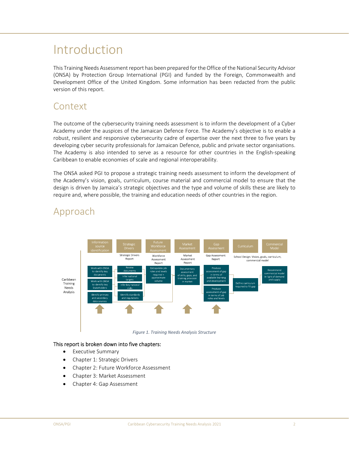## Introduction

This Training Needs Assessment report has been prepared for the Office of the National Security Advisor (ONSA) by Protection Group International (PGI) and funded by the Foreign, Commonwealth and Development Office of the United Kingdom. Some information has been redacted from the public version of this report.

## Context

The outcome of the cybersecurity training needs assessment is to inform the development of a Cyber Academy under the auspices of the Jamaican Defence Force. The Academy's objective is to enable a robust, resilient and responsive cybersecurity cadre of expertise over the next three to five years by developing cyber security professionals for Jamaican Defence, public and private sector organisations. The Academy is also intended to serve as a resource for other countries in the English-speaking Caribbean to enable economies of scale and regional interoperability.

The ONSA asked PGI to propose a strategic training needs assessment to inform the development of the Academy's vision, goals, curriculum, course material and commercial model to ensure that the design is driven by Jamaica's strategic objectives and the type and volume of skills these are likely to require and, where possible, the training and education needs of other countries in the region.



## Approach

*Figure 1. Training Needs Analysis Structure*

## This report is broken down into five chapters:

- Executive Summary
- Chapter 1: Strategic Drivers
- Chapter 2: Future Workforce Assessment
- Chapter 3: Market Assessment
- Chapter 4: Gap Assessment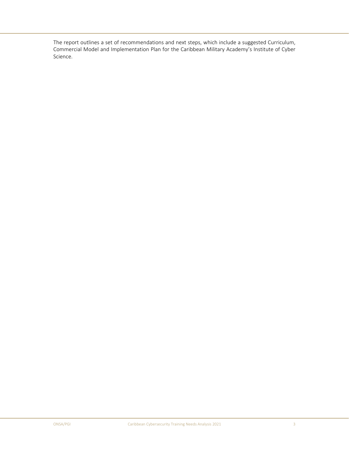The report outlines a set of recommendations and next steps, which include a suggested Curriculum, Commercial Model and Implementation Plan for the Caribbean Military Academy's Institute of Cyber Science.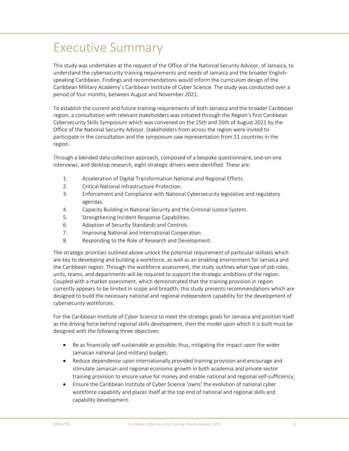## Executive Summary

This study was undertaken at the request of the Office of the National Security Advisor, of Jamaica, to understand the cybersecurity training requirements and needs of Jamaica and the broader English‐ speaking Caribbean. Findings and recommendations would inform the curriculum design of the Caribbean Military Academy's Caribbean Institute of Cyber Science. The study was conducted over a period of four months, between August and November 2021.

To establish the current and future training requirements of both Jamaica and the broader Caribbean region, a consultation with relevant stakeholders was initiated through the Region's first Caribbean Cybersecurity Skills Symposium which was convened on the 25th and 26th of August 2021 by the Office of the National Security Advisor. Stakeholders from across the region were invited to participate in the consultation and the symposium saw representation from 11 countries in the region.

Through a blended data collection approach, composed of a bespoke questionnaire, one‐on‐one interviews, and desktop research, eight strategic drivers were identified. These are:

- 1. Acceleration of Digital Transformation National and Regional Efforts.
- 2. Critical National Infrastructure Protection.
- 3. Enforcement and Compliance with National Cybersecurity legislative and regulatory agendas.
- 4. Capacity Building in National Security and the Criminal Justice System.
- 5. Strengthening Incident Response Capabilities.
- 6. Adoption of Security Standards and Controls.
- 7. Improving National and International Cooperation.
- 8. Responding to the Role of Research and Development.

The strategic priorities outlined above unlock the potential requirement of particular skillsets which are key to developing and building a workforce, as well as an enabling environment for Jamaica and the Caribbean region. Through the workforce assessment, the study outlines what type of job roles, units, teams, and departments will be required to support the strategic ambitions of the region. Coupled with a market assessment, which demonstrated that the training provision in region currently appears to be limited in scope and breadth, this study presents recommendations which are designed to build the necessary national and regional independent capability for the development of cybersecurity workforces.

For the Caribbean Institute of Cyber Science to meet the strategic goals for Jamaica and position itself as the driving force behind regional skills development, then the model upon which it is built must be designed with the following three objectives:

- Be as financially self-sustainable as possible; thus, mitigating the impact upon the wider Jamaican national (and military) budget;
- Reduce dependence upon internationally provided training provision and encourage and stimulate Jamaican and regional economic growth in both academia and private sector training provision to ensure value for money and enable national and regional self‐sufficiency;
- Ensure the Caribbean Institute of Cyber Science 'owns' the evolution of national cyber workforce capability and places itself at the top end of national and regional skills and capability development.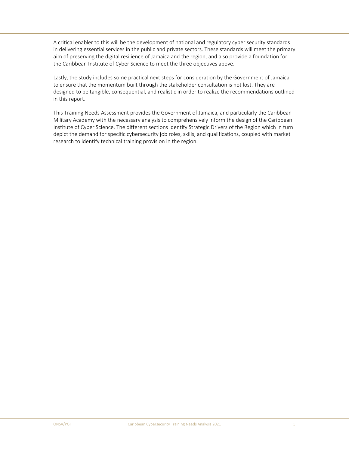A critical enabler to this will be the development of national and regulatory cyber security standards in delivering essential services in the public and private sectors. These standards will meet the primary aim of preserving the digital resilience of Jamaica and the region, and also provide a foundation for the Caribbean Institute of Cyber Science to meet the three objectives above.

Lastly, the study includes some practical next steps for consideration by the Government of Jamaica to ensure that the momentum built through the stakeholder consultation is not lost. They are designed to be tangible, consequential, and realistic in order to realize the recommendations outlined in this report.

This Training Needs Assessment provides the Government of Jamaica, and particularly the Caribbean Military Academy with the necessary analysis to comprehensively inform the design of the Caribbean Institute of Cyber Science. The different sections identify Strategic Drivers of the Region which in turn depict the demand for specific cybersecurity job roles, skills, and qualifications, coupled with market research to identify technical training provision in the region.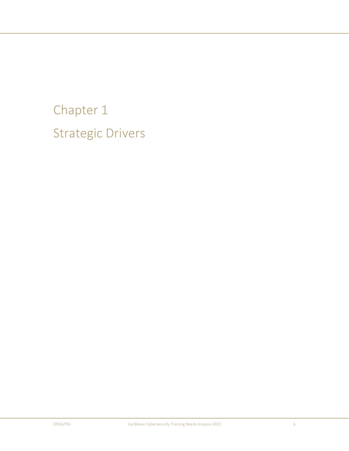# Chapter 1 Strategic Drivers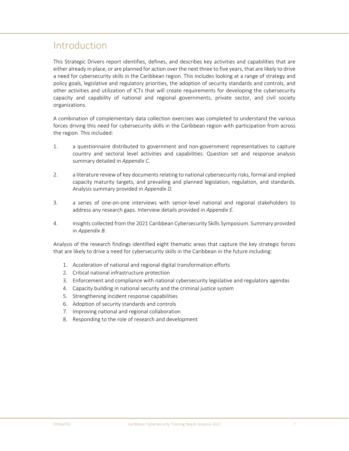## Introduction

This Strategic Drivers report identifies, defines, and describes key activities and capabilities that are either already in place, or are planned for action over the next three to five years, that are likely to drive a need for cybersecurity skills in the Caribbean region. This includes looking at a range of strategy and policy goals, legislative and regulatory priorities, the adoption of security standards and controls, and other activities and utilization of ICTs that will create requirements for developing the cybersecurity capacity and capability of national and regional governments, private sector, and civil society organizations.

A combination of complementary data collection exercises was completed to understand the various forces driving this need for cybersecurity skills in the Caribbean region with participation from across the region. This included:

- 1. a questionnaire distributed to government and non‐government representatives to capture country and sectoral level activities and capabilities. Question set and response analysis summary detailed in *Appendix C*.
- 2. a literature review of key documents relating to national cybersecurity risks, formal and implied capacity maturity targets, and prevailing and planned legislation, regulation, and standards. Analysis summary provided in *Appendix D.*
- 3. a series of one-on-one interviews with senior-level national and regional stakeholders to address any research gaps. Interview details provided in *Appendix E.*
- 4. insights collected from the 2021 Caribbean Cybersecurity Skills Symposium. Summary provided in *Appendix B*.

Analysis of the research findings identified eight thematic areas that capture the key strategic forces that are likely to drive a need for cybersecurity skills in the Caribbean in the future including:

- 1. Acceleration of national and regional digital transformation efforts
- 2. Critical national infrastructure protection
- 3. Enforcement and compliance with national cybersecurity legislative and regulatory agendas
- 4. Capacity building in national security and the criminal justice system
- 5. Strengthening incident response capabilities
- 6. Adoption of security standards and controls
- 7. Improving national and regional collaboration
- 8. Responding to the role of research and development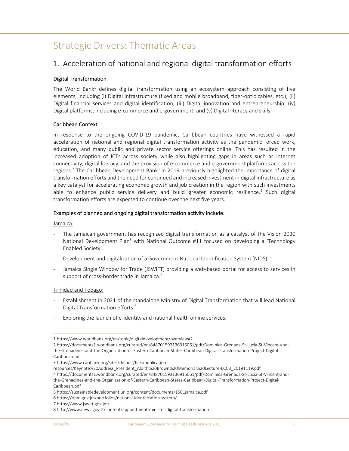## Strategic Drivers: Thematic Areas

## 1. Acceleration of national and regional digital transformation efforts

## Digital Transformation

The World Bank<sup>1</sup> defines digital transformation using an ecosystem approach consisting of five elements, including (i) Digital infrastructure (fixed and mobile broadband, fiber‐optic cables, etc.); (ii) Digital financial services and digital identification; (iii) Digital innovation and entrepreneurship; (iv) Digital platforms, including e-commerce and e-government; and (v) Digital literacy and skills.

## Caribbean Context

In response to the ongoing COVID-19 pandemic, Caribbean countries have witnessed a rapid acceleration of national and regional digital transformation activity as the pandemic forced work, education, and many public and private sector service offerings online. This has resulted in the increased adoption of ICTs across society while also highlighting gaps in areas such as internet connectivity, digital literacy, and the provision of e‐commerce and e‐government platforms across the regions.<sup>2</sup> The Caribbean Development Bank<sup>3</sup> in 2019 previously highlighted the importance of digital transformation efforts and the need for continued and increased investment in digital infrastructure as a key catalyst for accelerating economic growth and job creation in the region with such investments able to enhance public service delivery and build greater economic resilience.<sup>4</sup> Such digital transformation efforts are expected to continue over the next five years.

## Examples of planned and ongoing digital transformation activity include:

Jamaica:

- ‐ The Jamaican government has recognized digital transformation as a catalyst of the Vision 2030 National Development Plan<sup>5</sup> with National Outcome #11 focused on developing a 'Technology Enabled Society'.
- Development and digitalization of a Government National Identification System (NIDS).<sup>6</sup>
- Jamaica Single Window for Trade (JSWIFT) providing a web-based portal for access to services in support of cross-border trade in Jamaica.<sup>7</sup>

## Trinidad and Tobago:

- ‐ Establishment in 2021 of the standalone Ministry of Digital Transformation that will lead National Digital Transformation efforts.8
- Exploring the launch of e-identity and national health online services.

<sup>1</sup> https://www.worldbank.org/en/topic/digitaldevelopment/overview#2

<sup>2</sup> https://documents1.worldbank.org/curated/en/848701593136915061/pdf/Dominica‐Grenada‐St‐Lucia‐St‐Vincent‐and‐ the‐Grenadines‐and‐the‐Organization‐of‐Eastern‐Caribbean‐States‐Caribbean‐Digital‐Transformation‐Project‐Digital‐ Caribbean.pdf

<sup>3</sup> https://www.caribank.org/sites/default/files/publication‐

resources/Keynote%20Address\_President\_Aldith%20Brown%20Memorial%20Lecture‐ECCB\_20191119.pdf 4 https://documents1.worldbank.org/curated/en/848701593136915061/pdf/Dominica‐Grenada‐St‐Lucia‐St‐Vincent‐and‐ the‐Grenadines‐and‐the‐Organization‐of‐Eastern‐Caribbean‐States‐Caribbean‐Digital‐Transformation‐Project‐Digital‐ Caribbean.pdf

<sup>5</sup> https://sustainabledevelopment.un.org/content/documents/1501jamaica.pdf

<sup>6</sup> https://opm.gov.jm/portfolios/national‐identification‐system/

<sup>7</sup> https://www.jswift.gov.jm/

<sup>8</sup> http://www.news.gov.tt/content/appointment‐minister‐digital‐transformation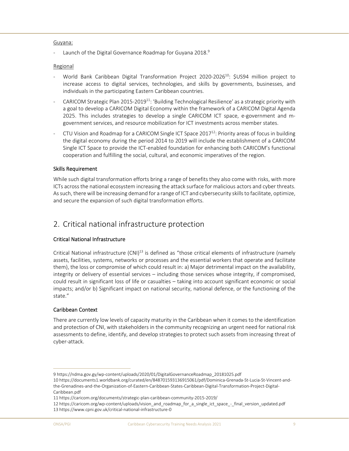## Guyana:

Launch of the Digital Governance Roadmap for Guyana 2018.<sup>9</sup>

## Regional

- World Bank Caribbean Digital Transformation Project 2020-2026<sup>10</sup>: \$US94 million project to increase access to digital services, technologies, and skills by governments, businesses, and individuals in the participating Eastern Caribbean countries.
- CARICOM Strategic Plan 2015-2019<sup>11</sup>: 'Building Technological Resilience' as a strategic priority with a goal to develop a CARICOM Digital Economy within the framework of a CARICOM Digital Agenda 2025. This includes strategies to develop a single CARICOM ICT space, e-government and mgovernment services, and resource mobilization for ICT investments across member states.
- CTU Vision and Roadmap for a CARICOM Single ICT Space 2017<sup>12</sup>: Priority areas of focus in building the digital economy during the period 2014 to 2019 will include the establishment of a CARICOM Single ICT Space to provide the ICT‐enabled foundation for enhancing both CARICOM's functional cooperation and fulfilling the social, cultural, and economic imperatives of the region.

## Skills Requirement

While such digital transformation efforts bring a range of benefits they also come with risks, with more ICTs across the national ecosystem increasing the attack surface for malicious actors and cyber threats. As such, there will be increasing demand for a range of ICT and cybersecurity skills to facilitate, optimize, and secure the expansion of such digital transformation efforts.

## 2. Critical national infrastructure protection

## Critical National Infrastructure

Critical National infrastructure  $(CNI)^{13}$  is defined as "those critical elements of infrastructure (namely assets, facilities, systems, networks or processes and the essential workers that operate and facilitate them), the loss or compromise of which could result in: a) Major detrimental impact on the availability, integrity or delivery of essential services – including those services whose integrity, if compromised, could result in significant loss of life or casualties – taking into account significant economic or social impacts; and/or b) Significant impact on national security, national defence, or the functioning of the state."

## Caribbean Context

There are currently low levels of capacity maturity in the Caribbean when it comes to the identification and protection of CNI, with stakeholders in the community recognizing an urgent need for national risk assessments to define, identify, and develop strategies to protect such assets from increasing threat of cyber‐attack.

<sup>9</sup> https://ndma.gov.gy/wp‐content/uploads/2020/01/DigitalGovernanceRoadmap\_20181025.pdf

<sup>10</sup> https://documents1.worldbank.org/curated/en/848701593136915061/pdf/Dominica‐Grenada‐St‐Lucia‐St‐Vincent‐and‐ the‐Grenadines‐and‐the‐Organization‐of‐Eastern‐Caribbean‐States‐Caribbean‐Digital‐Transformation‐Project‐Digital‐ Caribbean.pdf

<sup>11</sup> https://caricom.org/documents/strategic‐plan‐caribbean‐community‐2015‐2019/

<sup>12</sup> https://caricom.org/wp‐content/uploads/vision\_and\_roadmap\_for\_a\_single\_ict\_space\_‐\_final\_version\_updated.pdf 13 https://www.cpni.gov.uk/critical‐national‐infrastructure‐0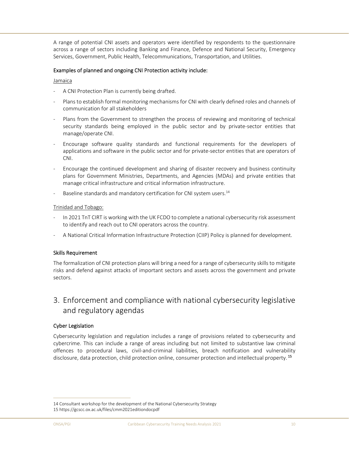A range of potential CNI assets and operators were identified by respondents to the questionnaire across a range of sectors including Banking and Finance, Defence and National Security, Emergency Services, Government, Public Health, Telecommunications, Transportation, and Utilities.

## Examples of planned and ongoing CNI Protection activity include:

#### Jamaica

- ‐ A CNI Protection Plan is currently being drafted.
- Plans to establish formal monitoring mechanisms for CNI with clearly defined roles and channels of communication for all stakeholders
- Plans from the Government to strengthen the process of reviewing and monitoring of technical security standards being employed in the public sector and by private-sector entities that manage/operate CNI.
- ‐ Encourage software quality standards and functional requirements for the developers of applications and software in the public sector and for private‐sector entities that are operators of CNI.
- ‐ Encourage the continued development and sharing of disaster recovery and business continuity plans for Government Ministries, Departments, and Agencies (MDAs) and private entities that manage critical infrastructure and critical information infrastructure.
- Baseline standards and mandatory certification for CNI system users.<sup>14</sup>

#### Trinidad and Tobago:

- ‐ In 2021 TnT CIRT is working with the UK FCDO to complete a national cybersecurity risk assessment to identify and reach out to CNI operators across the country.
- ‐ A National Critical Information Infrastructure Protection (CIIP) Policy is planned for development.

## Skills Requirement

The formalization of CNI protection plans will bring a need for a range of cybersecurity skills to mitigate risks and defend against attacks of important sectors and assets across the government and private sectors.

## 3. Enforcement and compliance with national cybersecurity legislative and regulatory agendas

## Cyber Legislation

Cybersecurity legislation and regulation includes a range of provisions related to cybersecurity and cybercrime. This can include a range of areas including but not limited to substantive law criminal offences to procedural laws, civil‐and‐criminal liabilities, breach notification and vulnerability disclosure, data protection, child protection online, consumer protection and intellectual property.<sup>15</sup>

<sup>14</sup> Consultant workshop for the development of the National Cybersecurity Strategy 15 https://gcscc.ox.ac.uk/files/cmm2021editiondocpdf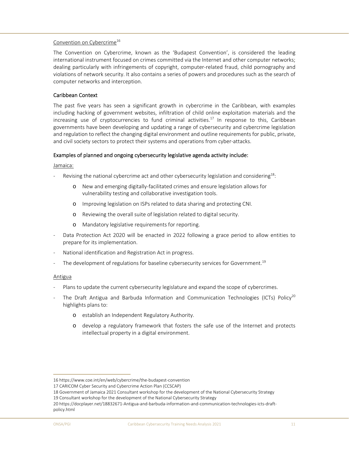## Convention on Cybercrime16

The Convention on Cybercrime, known as the 'Budapest Convention', is considered the leading international instrument focused on crimes committed via the Internet and other computer networks; dealing particularly with infringements of copyright, computer‐related fraud, child pornography and violations of network security. It also contains a series of powers and procedures such as the search of computer networks and interception.

## Caribbean Context

The past five years has seen a significant growth in cybercrime in the Caribbean, with examples including hacking of government websites, infiltration of child online exploitation materials and the increasing use of cryptocurrencies to fund criminal activities.<sup>17</sup> In response to this, Caribbean governments have been developing and updating a range of cybersecurity and cybercrime legislation and regulation to reflect the changing digital environment and outline requirements for public, private, and civil society sectors to protect their systems and operations from cyber-attacks.

## Examples of planned and ongoing cybersecurity legislative agenda activity include:

#### Jamaica:

- Revising the national cybercrime act and other cybersecurity legislation and considering<sup>18</sup>:
	- o New and emerging digitally‐facilitated crimes and ensure legislation allows for vulnerability testing and collaborative investigation tools.
	- o Improving legislation on ISPs related to data sharing and protecting CNI.
	- o Reviewing the overall suite of legislation related to digital security.
	- o Mandatory legislative requirements for reporting.
- Data Protection Act 2020 will be enacted in 2022 following a grace period to allow entities to prepare for its implementation.
- ‐ National identification and Registration Act in progress.
- The development of regulations for baseline cybersecurity services for Government.<sup>19</sup>

#### Antigua

- Plans to update the current cybersecurity legislature and expand the scope of cybercrimes.
- The Draft Antigua and Barbuda Information and Communication Technologies (ICTs) Policy<sup>20</sup> highlights plans to:
	- o establish an Independent Regulatory Authority.
	- o develop a regulatory framework that fosters the safe use of the Internet and protects intellectual property in a digital environment.

<sup>16</sup> https://www.coe.int/en/web/cybercrime/the‐budapest‐convention

<sup>17</sup> CARICOM Cyber Security and Cybercrime Action Plan (CCSCAP)

<sup>18</sup> Government of Jamaica 2021 Consultant workshop for the development of the National Cybersecurity Strategy

<sup>19</sup> Consultant workshop for the development of the National Cybersecurity Strategy

<sup>20</sup> https://docplayer.net/18832671‐Antigua‐and‐barbuda‐information‐and‐communication‐technologies‐icts‐draft‐ policy.html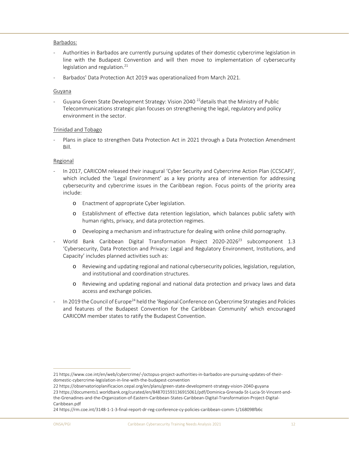#### Barbados:

- Authorities in Barbados are currently pursuing updates of their domestic cybercrime legislation in line with the Budapest Convention and will then move to implementation of cybersecurity legislation and regulation.<sup>21</sup>
- ‐ Barbados' Data Protection Act 2019 was operationalized from March 2021.

#### Guyana

Guyana Green State Development Strategy: Vision 2040<sup>22</sup>details that the Ministry of Public Telecommunications strategic plan focuses on strengthening the legal, regulatory and policy environment in the sector.

#### Trinidad and Tobago

Plans in place to strengthen Data Protection Act in 2021 through a Data Protection Amendment Bill.

#### Regional

- In 2017, CARICOM released their inaugural 'Cyber Security and Cybercrime Action Plan (CCSCAP)', which included the 'Legal Environment' as a key priority area of intervention for addressing cybersecurity and cybercrime issues in the Caribbean region. Focus points of the priority area include:
	- o Enactment of appropriate Cyber legislation.
	- o Establishment of effective data retention legislation, which balances public safety with human rights, privacy, and data protection regimes.
	- o Developing a mechanism and infrastructure for dealing with online child pornography.
- World Bank Caribbean Digital Transformation Project 2020-2026<sup>23</sup> subcomponent 1.3 'Cybersecurity, Data Protection and Privacy: Legal and Regulatory Environment, Institutions, and Capacity' includes planned activities such as:
	- o Reviewing and updating regional and national cybersecurity policies, legislation, regulation, and institutional and coordination structures.
	- o Reviewing and updating regional and national data protection and privacy laws and data access and exchange policies.
- In 2019 the Council of Europe<sup>24</sup> held the 'Regional Conference on Cybercrime Strategies and Policies and features of the Budapest Convention for the Caribbean Community' which encouraged CARICOM member states to ratify the Budapest Convention.

<sup>21</sup> https://www.coe.int/en/web/cybercrime/‐/octopus‐project‐authorities‐in‐barbados‐are‐pursuing‐updates‐of‐their‐ domestic‐cybercrime‐legislation‐in‐line‐with‐the‐budapest‐convention

<sup>22</sup> https://observatorioplanificacion.cepal.org/en/plans/green‐state‐development‐strategy‐vision‐2040‐guyana

<sup>23</sup> https://documents1.worldbank.org/curated/en/848701593136915061/pdf/Dominica‐Grenada‐St‐Lucia‐St‐Vincent‐and‐ the‐Grenadines‐and‐the‐Organization‐of‐Eastern‐Caribbean‐States‐Caribbean‐Digital‐Transformation‐Project‐Digital‐ Caribbean.pdf

<sup>24</sup> https://rm.coe.int/3148‐1‐1‐3‐final‐report‐dr‐reg‐conference‐cy‐policies‐caribbean‐comm‐1/168098fb6c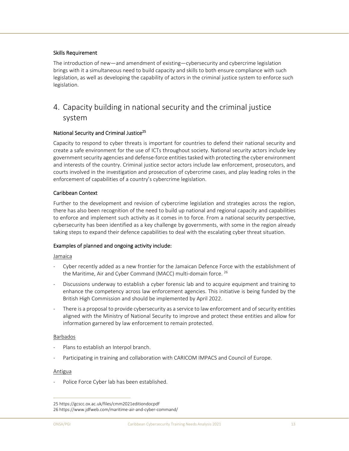## Skills Requirement

The introduction of new—and amendment of existing—cybersecurity and cybercrime legislation brings with it a simultaneous need to build capacity and skills to both ensure compliance with such legislation, as well as developing the capability of actors in the criminal justice system to enforce such legislation.

## 4. Capacity building in national security and the criminal justice system

## National Security and Criminal Justice<sup>25</sup>

Capacity to respond to cyber threats is important for countries to defend their national security and create a safe environment for the use of ICTs throughout society. National security actors include key government security agencies and defense‐force entities tasked with protecting the cyber environment and interests of the country. Criminal justice sector actors include law enforcement, prosecutors, and courts involved in the investigation and prosecution of cybercrime cases, and play leading roles in the enforcement of capabilities of a country's cybercrime legislation.

## Caribbean Context

Further to the development and revision of cybercrime legislation and strategies across the region, there has also been recognition of the need to build up national and regional capacity and capabilities to enforce and implement such activity as it comes in to force. From a national security perspective, cybersecurity has been identified as a key challenge by governments, with some in the region already taking steps to expand their defence capabilities to deal with the escalating cyber threat situation.

## Examples of planned and ongoing activity include:

#### **Jamaica**

- Cyber recently added as a new frontier for the Jamaican Defence Force with the establishment of the Maritime, Air and Cyber Command (MACC) multi-domain force. <sup>26</sup>
- ‐ Discussions underway to establish a cyber forensic lab and to acquire equipment and training to enhance the competency across law enforcement agencies. This initiative is being funded by the British High Commission and should be implemented by April 2022.
- ‐ There is a proposal to provide cybersecurity as a service to law enforcement and of security entities aligned with the Ministry of National Security to improve and protect these entities and allow for information garnered by law enforcement to remain protected.

## Barbados

- Plans to establish an Interpol branch.
- Participating in training and collaboration with CARICOM IMPACS and Council of Europe.

#### Antigua

Police Force Cyber lab has been established.

<sup>25</sup> https://gcscc.ox.ac.uk/files/cmm2021editiondocpdf

<sup>26</sup> https://www.jdfweb.com/maritime‐air‐and‐cyber‐command/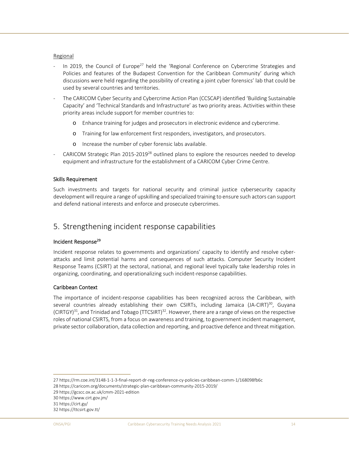#### Regional

- In 2019, the Council of Europe<sup>27</sup> held the 'Regional Conference on Cybercrime Strategies and Policies and features of the Budapest Convention for the Caribbean Community' during which discussions were held regarding the possibility of creating a joint cyber forensics' lab that could be used by several countries and territories.
- ‐ The CARICOM Cyber Security and Cybercrime Action Plan (CCSCAP) identified 'Building Sustainable Capacity' and 'Technical Standards and Infrastructure' as two priority areas. Activities within these priority areas include support for member countries to:
	- o Enhance training for judges and prosecutors in electronic evidence and cybercrime.
	- o Training for law enforcement first responders, investigators, and prosecutors.
	- o Increase the number of cyber forensic labs available.
- CARICOM Strategic Plan  $2015-2019^{28}$  outlined plans to explore the resources needed to develop equipment and infrastructure for the establishment of a CARICOM Cyber Crime Centre.

## Skills Requirement

Such investments and targets for national security and criminal justice cybersecurity capacity development will require a range of upskilling and specialized training to ensure such actors can support and defend national interests and enforce and prosecute cybercrimes.

## 5. Strengthening incident response capabilities

## Incident Response29

Incident response relates to governments and organizations' capacity to identify and resolve cyber‐ attacks and limit potential harms and consequences of such attacks. Computer Security Incident Response Teams (CSIRT) at the sectoral, national, and regional level typically take leadership roles in organizing, coordinating, and operationalizing such incident‐response capabilities.

## Caribbean Context

The importance of incident‐response capabilities has been recognized across the Caribbean, with several countries already establishing their own CSIRTs, including Jamaica (JA-CIRT)<sup>30</sup>, Guyana  $(CIRTGY)^{31}$ , and Trinidad and Tobago (TTCSIRT)<sup>32</sup>. However, there are a range of views on the respective roles of national CSIRTS, from a focus on awareness and training, to government incident management, private sector collaboration, data collection and reporting, and proactive defence and threat mitigation.

<sup>27</sup> https://rm.coe.int/3148‐1‐1‐3‐final‐report‐dr‐reg‐conference‐cy‐policies‐caribbean‐comm‐1/168098fb6c

<sup>28</sup> https://caricom.org/documents/strategic‐plan‐caribbean‐community‐2015‐2019/

<sup>29</sup> https://gcscc.ox.ac.uk/cmm‐2021‐edition

<sup>30</sup> https://www.cirt.gov.jm/

<sup>31</sup> https://cirt.gy/

<sup>32</sup> https://ttcsirt.gov.tt/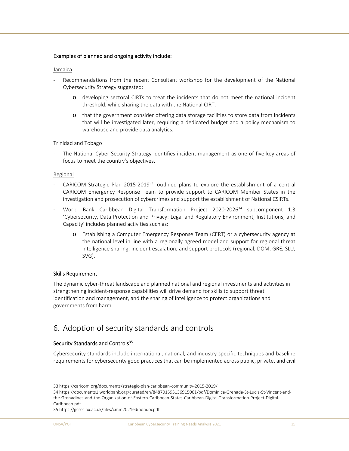## Examples of planned and ongoing activity include:

#### Jamaica

- Recommendations from the recent Consultant workshop for the development of the National Cybersecurity Strategy suggested:
	- o developing sectoral CIRTs to treat the incidents that do not meet the national incident threshold, while sharing the data with the National CIRT.
	- o that the government consider offering data storage facilities to store data from incidents that will be investigated later, requiring a dedicated budget and a policy mechanism to warehouse and provide data analytics.

## Trinidad and Tobago

The National Cyber Security Strategy identifies incident management as one of five key areas of focus to meet the country's objectives.

#### Regional

- CARICOM Strategic Plan  $2015{\cdot}2019^{33}$ , outlined plans to explore the establishment of a central CARICOM Emergency Response Team to provide support to CARICOM Member States in the investigation and prosecution of cybercrimes and support the establishment of National CSIRTs.
- World Bank Caribbean Digital Transformation Project 2020-2026<sup>34</sup> subcomponent 1.3 'Cybersecurity, Data Protection and Privacy: Legal and Regulatory Environment, Institutions, and Capacity' includes planned activities such as:
	- o Establishing a Computer Emergency Response Team (CERT) or a cybersecurity agency at the national level in line with a regionally agreed model and support for regional threat intelligence sharing, incident escalation, and support protocols (regional, DOM, GRE, SLU, SVG).

## Skills Requirement

The dynamic cyber‐threat landscape and planned national and regional investments and activities in strengthening incident‐response capabilities will drive demand for skills to support threat identification and management, and the sharing of intelligence to protect organizations and governments from harm.

## 6. Adoption of security standards and controls

## Security Standards and Controls<sup>35</sup>

Cybersecurity standards include international, national, and industry specific techniques and baseline requirements for cybersecurity good practices that can be implemented across public, private, and civil

<sup>33</sup> https://caricom.org/documents/strategic‐plan‐caribbean‐community‐2015‐2019/

<sup>34</sup> https://documents1.worldbank.org/curated/en/848701593136915061/pdf/Dominica‐Grenada‐St‐Lucia‐St‐Vincent‐and‐ the‐Grenadines‐and‐the‐Organization‐of‐Eastern‐Caribbean‐States‐Caribbean‐Digital‐Transformation‐Project‐Digital‐ Caribbean.pdf

<sup>35</sup> https://gcscc.ox.ac.uk/files/cmm2021editiondocpdf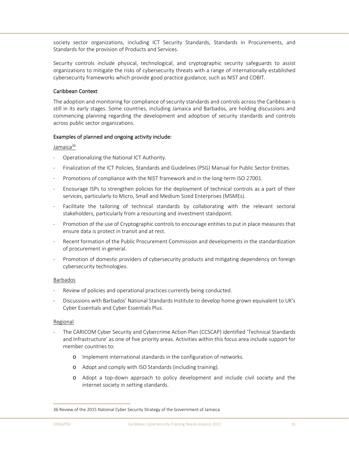society sector organizations, including ICT Security Standards, Standards in Procurements, and Standards for the provision of Products and Services.

Security controls include physical, technological, and cryptographic security safeguards to assist organizations to mitigate the risks of cybersecurity threats with a range of internationally established cybersecurity frameworks which provide good practice guidance, such as NIST and COBIT.

## Caribbean Context

The adoption and monitoring for compliance of security standards and controls across the Caribbean is still in its early stages. Some countries, including Jamaica and Barbados, are holding discussions and commencing planning regarding the development and adoption of security standards and controls across public sector organizations.

## Examples of planned and ongoing activity include:

## Jamaica<sup>36</sup>

- ‐ Operationalizing the National ICT Authority.
- ‐ Finalization of the ICT Policies, Standards and Guidelines (PSG) Manual for Public Sector Entities.
- ‐ Promotions of compliance with the NIST framework and in the long‐term ISO 27001.
- ‐ Encourage ISPs to strengthen policies for the deployment of technical controls as a part of their services, particularly to Micro, Small and Medium Sized Enterprises (MSMEs).
- Facilitate the tailoring of technical standards by collaborating with the relevant sectoral stakeholders, particularly from a resourcing and investment standpoint.
- ‐ Promotion of the use of Cryptographic controls to encourage entities to put in place measures that ensure data is protect in transit and at rest.
- ‐ Recent formation of the Public Procurement Commission and developments in the standardization of procurement in general.
- Promotion of domestic providers of cybersecurity products and mitigating dependency on foreign cybersecurity technologies.

## Barbados

- Review of policies and operational practices currently being conducted.
- ‐ Discussions with Barbados' National Standards Institute to develop home grown equivalent to UK's Cyber Essentials and Cyber Essentials Plus.

## Regional

- ‐ The CARICOM Cyber Security and Cybercrime Action Plan (CCSCAP) identified 'Technical Standards and Infrastructure' as one of five priority areas. Activities within this focus area include support for member countries to:
	- o Implement international standards in the configuration of networks.
	- o Adopt and comply with ISO Standards (including training).
	- o Adopt a top‐down approach to policy development and include civil society and the internet society in setting standards.

<sup>36</sup> Review of the 2015 National Cyber Security Strategy of the Government of Jamaica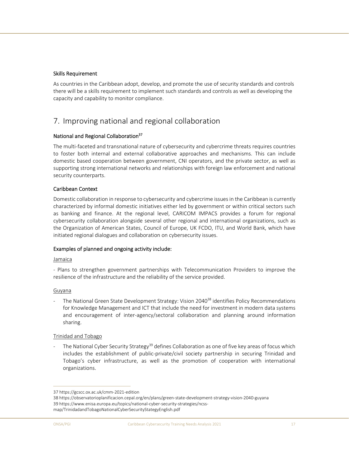## Skills Requirement

As countries in the Caribbean adopt, develop, and promote the use of security standards and controls there will be a skills requirement to implement such standards and controls as well as developing the capacity and capability to monitor compliance.

## 7. Improving national and regional collaboration

## National and Regional Collaboration<sup>37</sup>

The multi-faceted and transnational nature of cybersecurity and cybercrime threats requires countries to foster both internal and external collaborative approaches and mechanisms. This can include domestic based cooperation between government, CNI operators, and the private sector, as well as supporting strong international networks and relationships with foreign law enforcement and national security counterparts.

## Caribbean Context

Domestic collaboration in response to cybersecurity and cybercrime issues in the Caribbean is currently characterized by informal domestic initiatives either led by government or within critical sectors such as banking and finance. At the regional level, CARICOM IMPACS provides a forum for regional cybersecurity collaboration alongside several other regional and international organizations, such as the Organization of American States, Council of Europe, UK FCDO, ITU, and World Bank, which have initiated regional dialogues and collaboration on cybersecurity issues.

## Examples of planned and ongoing activity include:

## Jamaica

‐ Plans to strengthen government partnerships with Telecommunication Providers to improve the resilience of the infrastructure and the reliability of the service provided.

## Guyana

The National Green State Development Strategy: Vision 2040<sup>38</sup> identifies Policy Recommendations for Knowledge Management and ICT that include the need for investment in modern data systems and encouragement of inter-agency/sectoral collaboration and planning around information sharing.

## Trinidad and Tobago

The National Cyber Security Strategy<sup>39</sup> defines Collaboration as one of five key areas of focus which includes the establishment of public-private/civil society partnership in securing Trinidad and Tobago's cyber infrastructure, as well as the promotion of cooperation with international organizations.

<sup>37</sup> https://gcscc.ox.ac.uk/cmm‐2021‐edition

<sup>38</sup> https://observatorioplanificacion.cepal.org/en/plans/green‐state‐development‐strategy‐vision‐2040‐guyana 39 https://www.enisa.europa.eu/topics/national‐cyber‐security‐strategies/ncss‐ map/TrinidadandTobagoNationalCyberSecurityStategyEnglish.pdf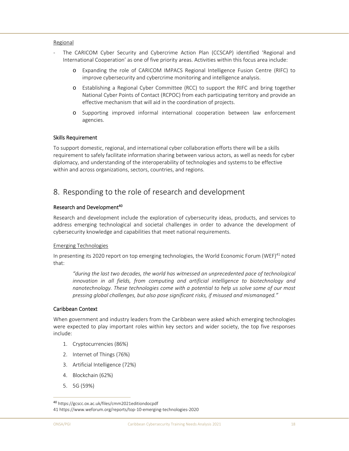#### Regional

- The CARICOM Cyber Security and Cybercrime Action Plan (CCSCAP) identified 'Regional and International Cooperation' as one of five priority areas. Activities within this focus area include:
	- o Expanding the role of CARICOM IMPACS Regional Intelligence Fusion Centre (RIFC) to improve cybersecurity and cybercrime monitoring and intelligence analysis.
	- o Establishing a Regional Cyber Committee (RCC) to support the RIFC and bring together National Cyber Points of Contact (RCPOC) from each participating territory and provide an effective mechanism that will aid in the coordination of projects.
	- o Supporting improved informal international cooperation between law enforcement agencies.

## Skills Requirement

To support domestic, regional, and international cyber collaboration efforts there will be a skills requirement to safely facilitate information sharing between various actors, as well as needs for cyber diplomacy, and understanding of the interoperability of technologies and systems to be effective within and across organizations, sectors, countries, and regions.

## 8. Responding to the role of research and development

## Research and Development<sup>40</sup>

Research and development include the exploration of cybersecurity ideas, products, and services to address emerging technological and societal challenges in order to advance the development of cybersecurity knowledge and capabilities that meet national requirements.

## Emerging Technologies

In presenting its 2020 report on top emerging technologies, the World Economic Forum (WEF)<sup>41</sup> noted that:

*"during the last two decades, the world has witnessed an unprecedented pace of technological innovation in all fields, from computing and artificial intelligence to biotechnology and nanotechnology. These technologies come with a potential to help us solve some of our most pressing global challenges, but also pose significant risks, if misused and mismanaged."* 

## Caribbean Context

When government and industry leaders from the Caribbean were asked which emerging technologies were expected to play important roles within key sectors and wider society, the top five responses include:

- 1. Cryptocurrencies (86%)
- 2. Internet of Things (76%)
- 3. Artificial Intelligence (72%)
- 4. Blockchain (62%)
- 5. 5G (59%)

<sup>40</sup> https://gcscc.ox.ac.uk/files/cmm2021editiondocpdf

<sup>41</sup> https://www.weforum.org/reports/top‐10‐emerging‐technologies‐2020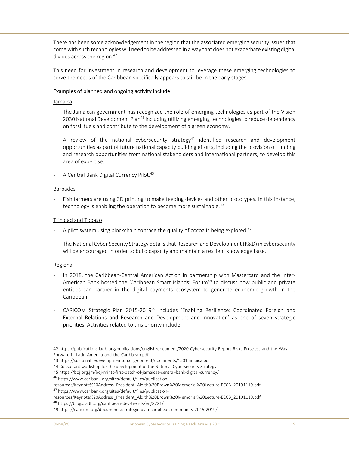There has been some acknowledgement in the region that the associated emerging security issues that come with such technologies will need to be addressed in a way that does not exacerbate existing digital divides across the region.<sup>42</sup>

This need for investment in research and development to leverage these emerging technologies to serve the needs of the Caribbean specifically appears to still be in the early stages.

## Examples of planned and ongoing activity include:

#### Jamaica

- The Jamaican government has recognized the role of emerging technologies as part of the Vision 2030 National Development Plan<sup>43</sup> including utilizing emerging technologies to reduce dependency on fossil fuels and contribute to the development of a green economy.
- A review of the national cybersecurity strategy<sup>44</sup> identified research and development opportunities as part of future national capacity building efforts, including the provision of funding and research opportunities from national stakeholders and international partners, to develop this area of expertise.
- ‐ A Central Bank Digital Currency Pilot.45

#### Barbados

Fish farmers are using 3D printing to make feeding devices and other prototypes. In this instance, technology is enabling the operation to become more sustainable. <sup>46</sup>

#### Trinidad and Tobago

- A pilot system using blockchain to trace the quality of cocoa is being explored.<sup>47</sup>
- ‐ The National Cyber Security Strategy details that Research and Development (R&D) in cybersecurity will be encouraged in order to build capacity and maintain a resilient knowledge base.

## Regional

- In 2018, the Caribbean-Central American Action in partnership with Mastercard and the Inter-American Bank hosted the 'Caribbean Smart Islands' Forum<sup>48</sup> to discuss how public and private entities can partner in the digital payments ecosystem to generate economic growth in the Caribbean.
- ‐ CARICOM Strategic Plan 2015‐201949 includes 'Enabling Resilience: Coordinated Foreign and External Relations and Research and Development and Innovation' as one of seven strategic priorities. Activities related to this priority include:

<sup>48</sup> https://blogs.iadb.org/caribbean‐dev‐trends/en/8721/

<sup>42</sup> https://publications.iadb.org/publications/english/document/2020‐Cybersecurity‐Report‐Risks‐Progress‐and‐the‐Way‐ Forward‐in‐Latin‐America‐and‐the‐Caribbean.pdf

<sup>43</sup> https://sustainabledevelopment.un.org/content/documents/1501jamaica.pdf

<sup>44</sup> Consultant workshop for the development of the National Cybersecurity Strategy

<sup>45</sup> https://boj.org.jm/boj‐mints‐first‐batch‐of‐jamaicas‐central‐bank‐digital‐currency/

<sup>46</sup> https://www.caribank.org/sites/default/files/publication‐

resources/Keynote%20Address\_President\_Aldith%20Brown%20Memorial%20Lecture‐ECCB\_20191119.pdf <sup>47</sup> https://www.caribank.org/sites/default/files/publication‐

resources/Keynote%20Address\_President\_Aldith%20Brown%20Memorial%20Lecture‐ECCB\_20191119.pdf

<sup>49</sup> https://caricom.org/documents/strategic‐plan‐caribbean‐community‐2015‐2019/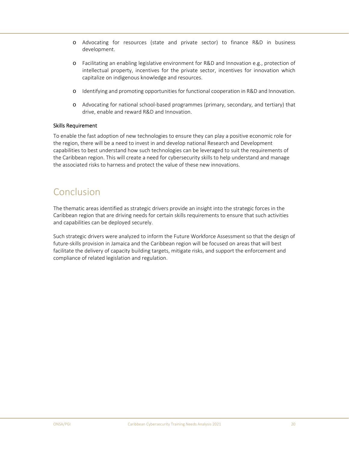- o Advocating for resources (state and private sector) to finance R&D in business development.
- o Facilitating an enabling legislative environment for R&D and Innovation e.g., protection of intellectual property, incentives for the private sector, incentives for innovation which capitalize on indigenous knowledge and resources.
- o Identifying and promoting opportunities for functional cooperation in R&D and Innovation.
- o Advocating for national school‐based programmes (primary, secondary, and tertiary) that drive, enable and reward R&D and Innovation.

## Skills Requirement

To enable the fast adoption of new technologies to ensure they can play a positive economic role for the region, there will be a need to invest in and develop national Research and Development capabilities to best understand how such technologies can be leveraged to suit the requirements of the Caribbean region. This will create a need for cybersecurity skills to help understand and manage the associated risks to harness and protect the value of these new innovations.

## Conclusion

The thematic areas identified as strategic drivers provide an insight into the strategic forces in the Caribbean region that are driving needs for certain skills requirements to ensure that such activities and capabilities can be deployed securely.

Such strategic drivers were analyzed to inform the Future Workforce Assessment so that the design of future‐skills provision in Jamaica and the Caribbean region will be focused on areas that will best facilitate the delivery of capacity building targets, mitigate risks, and support the enforcement and compliance of related legislation and regulation.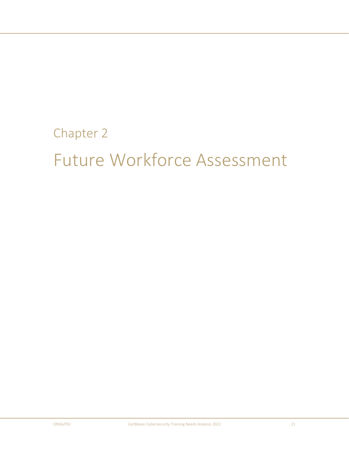## Chapter 2

# Future Workforce Assessment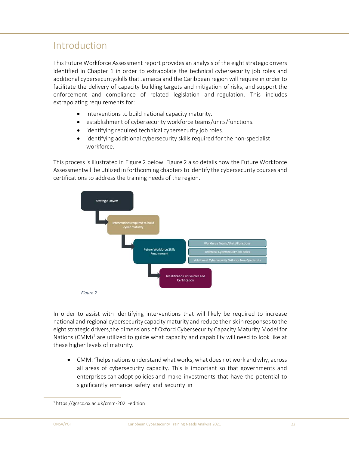## Introduction

This Future Workforce Assessment report provides an analysis of the eight strategic drivers identified in Chapter 1 in order to extrapolate the technical cybersecurity job roles and additional cybersecurity skills that Jamaica and the Caribbean region will require in order to facilitate the delivery of capacity building targets and mitigation of risks, and support the enforcement and compliance of related legislation and regulation. This includes extrapolating requirements for:

- interventions to build national capacity maturity.
- establishment of cybersecurity workforce teams/units/functions.
- identifying required technical cybersecurity job roles.
- identifying additional cybersecurity skills required for the non‐specialist workforce.

This process is illustrated in Figure 2 below. Figure 2 also details how the Future Workforce Assessment will be utilized in forthcoming chapters to identify the cybersecurity courses and certifications to address the training needs of the region.



In order to assist with identifying interventions that will likely be required to increase national and regional cybersecurity capacity maturity and reduce the risk in responses to the eight strategic drivers, the dimensions of Oxford Cybersecurity Capacity Maturity Model for Nations  $(CMM)^{1}$  are utilized to guide what capacity and capability will need to look like at these higher levels of maturity.

 CMM: "helps nations understand what works, what does not work and why, across all areas of cybersecurity capacity. This is important so that governments and enterprises can adopt policies and make investments that have the potential to significantly enhance safety and security in

<sup>1</sup> https://gcscc.ox.ac.uk/cmm‐2021‐edition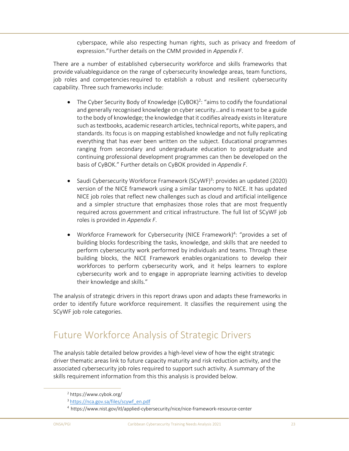cyberspace, while also respecting human rights, such as privacy and freedom of expression." Further details on the CMM provided in *Appendix F*.

There are a number of established cybersecurity workforce and skills frameworks that provide valuableguidance on the range of cybersecurity knowledge areas, team functions, job roles and competencies required to establish a robust and resilient cybersecurity capability. Three such frameworks include:

- The Cyber Security Body of Knowledge (CyBOK)<sup>2</sup>: "aims to codify the foundational and generally recognised knowledge on cyber security…and is meant to be a guide to the body of knowledge; the knowledge that it codifies already exists in literature such as textbooks, academic research articles, technical reports, white papers, and standards. Its focus is on mapping established knowledge and not fully replicating everything that has ever been written on the subject. Educational programmes ranging from secondary and undergraduate education to postgraduate and continuing professional development programmes can then be developed on the basis of CyBOK." Further details on CyBOK provided in *Appendix F*.
- Saudi Cybersecurity Workforce Framework (SCyWF)<sup>3</sup>: provides an updated (2020) version of the NICE framework using a similar taxonomy to NICE. It has updated NICE job roles that reflect new challenges such as cloud and artificial intelligence and a simpler structure that emphasizes those roles that are most frequently required across government and critical infrastructure. The full list of SCyWF job roles is provided in *Appendix F*.
- Workforce Framework for Cybersecurity (NICE Framework)<sup>4</sup>: "provides a set of building blocks fordescribing the tasks, knowledge, and skills that are needed to perform cybersecurity work performed by individuals and teams. Through these building blocks, the NICE Framework enables organizations to develop their workforces to perform cybersecurity work, and it helps learners to explore cybersecurity work and to engage in appropriate learning activities to develop their knowledge and skills."

The analysis of strategic drivers in this report draws upon and adapts these frameworks in order to identify future workforce requirement. It classifies the requirement using the SCyWF job role categories.

## Future Workforce Analysis of Strategic Drivers

The analysis table detailed below provides a high‐level view of how the eight strategic driver thematic areas link to future capacity maturity and risk reduction activity, and the associated cybersecurity job roles required to support such activity. A summary of the skills requirement information from this this analysis is provided below.

<sup>2</sup> https://www.cybok.org/

<sup>&</sup>lt;sup>3</sup> https://nca.gov.sa/files/scywf\_en.pdf

<sup>4</sup> https://www.nist.gov/itl/applied‐cybersecurity/nice/nice‐framework‐resource‐center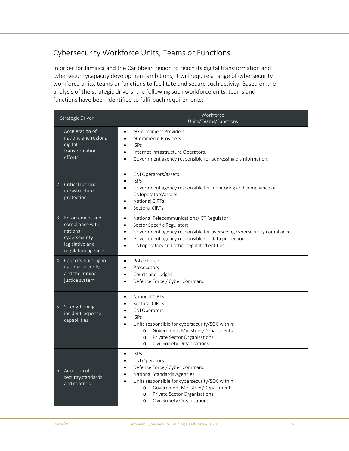## Cybersecurity Workforce Units, Teams or Functions

In order for Jamaica and the Caribbean region to reach its digital transformation and cybersecurity capacity development ambitions, it will require a range of cybersecurity workforce units, teams or functions to facilitate and secure such activity. Based on the analysis of the strategic drivers, the following such workforce units, teams and functions have been identified to fulfil such requirements:

| <b>Strategic Driver</b>                                                                                     | Workforce<br>Units/Teams/Functions                                                                                                                                                                                                                                                                                                                            |
|-------------------------------------------------------------------------------------------------------------|---------------------------------------------------------------------------------------------------------------------------------------------------------------------------------------------------------------------------------------------------------------------------------------------------------------------------------------------------------------|
| 1. Acceleration of<br>nationaland regional<br>digital<br>transformation<br>efforts                          | eGovernment Providers<br>$\bullet$<br>eCommerce Providers<br>$\bullet$<br><b>ISPs</b><br>$\bullet$<br>Internet Infrastructure Operators.<br>$\bullet$<br>Government agency responsible for addressing disinformation.<br>$\bullet$                                                                                                                            |
| 2. Critical national<br>infrastructure<br>protection                                                        | CNI Operators/assets<br>$\bullet$<br><b>ISPs</b><br>$\bullet$<br>Government agency responsible for monitoring and compliance of<br>$\bullet$<br>CNIoperators/assets.<br><b>National CIRTs</b><br>$\bullet$<br>Sectoral CIRTs<br>$\bullet$                                                                                                                     |
| 3. Enforcement and<br>compliance with<br>national<br>cybersecurity<br>legislative and<br>regulatory agendas | National Telecommunications/ICT Regulator<br>$\bullet$<br>Sector Specific Regulators<br>$\bullet$<br>Government agency responsible for overseeing cybersecurity compliance.<br>$\bullet$<br>Government agency responsible for data protection.<br>$\bullet$<br>CNI operators and other regulated entities.<br>$\bullet$                                       |
| 4. Capacity building in<br>national security<br>and thecriminal<br>justice system                           | Police Force<br>$\bullet$<br>Prosecutors<br>$\bullet$<br>Courts and Judges<br>$\bullet$<br>Defence Force / Cyber Command<br>$\bullet$                                                                                                                                                                                                                         |
| 5. Strengthening<br>incidentresponse<br>capabilities                                                        | <b>National CIRTs</b><br>$\bullet$<br>Sectoral CIRTS<br>$\bullet$<br><b>CNI Operators</b><br>$\bullet$<br><b>ISPs</b><br>$\bullet$<br>Units responsible for cybersecurity/SOC within:<br>$\bullet$<br>Government Ministries/Departments<br>$\circ$<br>Private Sector Organisations<br>$\circ$<br>Civil Society Organisations<br>$\circ$                       |
| 6. Adoption of<br>securitystandards<br>and controls                                                         | <b>ISPs</b><br>$\bullet$<br><b>CNI Operators</b><br>$\bullet$<br>Defence Force / Cyber Command<br>$\bullet$<br>National Standards Agencies<br>$\bullet$<br>Units responsible for cybersecurity/SOC within:<br>$\bullet$<br>Government Ministries/Departments<br>$\Omega$<br>Private Sector Organisations<br>$\circ$<br>Civil Society Organisations<br>$\circ$ |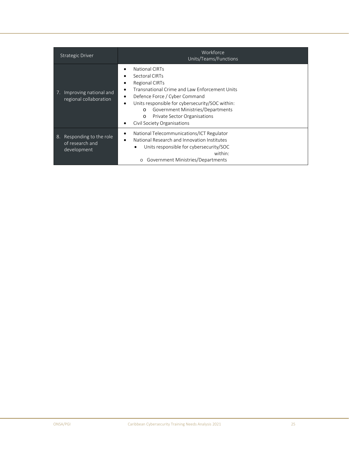| <b>Strategic Driver</b>                                        | Workforce<br>Units/Teams/Functions                                                                                                                                                                                                                                                                                        |
|----------------------------------------------------------------|---------------------------------------------------------------------------------------------------------------------------------------------------------------------------------------------------------------------------------------------------------------------------------------------------------------------------|
| Improving national and<br>7.<br>regional collaboration         | National CIRTs<br>Sectoral CIRTs<br><b>Regional CIRTs</b><br>Transnational Crime and Law Enforcement Units<br>Defence Force / Cyber Command<br>Units responsible for cybersecurity/SOC within:<br>Government Ministries/Departments<br>$\Omega$<br>Private Sector Organisations<br>$\circ$<br>Civil Society Organisations |
| Responding to the role<br>8.<br>of research and<br>development | National Telecommunications/ICT Regulator<br>٠<br>National Research and Innovation Institutes<br>Units responsible for cybersecurity/SOC<br>within:<br>Government Ministries/Departments<br>$\circ$                                                                                                                       |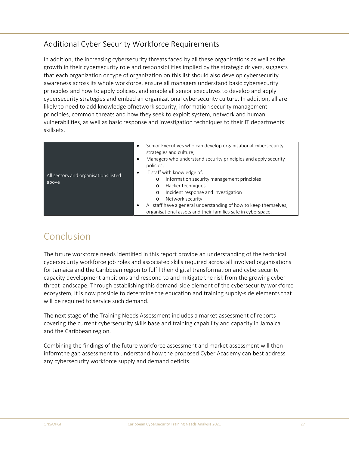## Additional Cyber Security Workforce Requirements

In addition, the increasing cybersecurity threats faced by all these organisations as well as the growth in their cybersecurity role and responsibilities implied by the strategic drivers, suggests that each organization or type of organization on this list should also develop cybersecurity awareness across its whole workforce, ensure all managers understand basic cybersecurity principles and how to apply policies, and enable all senior executives to develop and apply cybersecurity strategies and embed an organizational cybersecurity culture. In addition, all are likely to need to add knowledge of network security, information security management principles, common threats and how they seek to exploit system, network and human vulnerabilities, as well as basic response and investigation techniques to their IT departments' skillsets.

| All sectors and organisations listed<br>above | Senior Executives who can develop organisational cybersecurity<br>strategies and culture;<br>Managers who understand security principles and apply security<br>٠<br>policies;<br>IT staff with knowledge of:<br>٠<br>Information security management principles<br>$\circ$<br>Hacker techniques<br>$\circ$<br>Incident response and investigation<br>$\circ$<br>Network security<br>$\circ$ |
|-----------------------------------------------|---------------------------------------------------------------------------------------------------------------------------------------------------------------------------------------------------------------------------------------------------------------------------------------------------------------------------------------------------------------------------------------------|
|                                               | All staff have a general understanding of how to keep themselves,<br>٠<br>organisational assets and their families safe in cyberspace.                                                                                                                                                                                                                                                      |

## Conclusion

The future workforce needs identified in this report provide an understanding of the technical cybersecurity workforce job roles and associated skills required across all involved organisations for Jamaica and the Caribbean region to fulfil their digital transformation and cybersecurity capacity development ambitions and respond to and mitigate the risk from the growing cyber threat landscape. Through establishing this demand‐side element of the cybersecurity workforce ecosystem, it is now possible to determine the education and training supply‐side elements that will be required to service such demand.

The next stage of the Training Needs Assessment includes a market assessment of reports covering the current cybersecurity skills base and training capability and capacity in Jamaica and the Caribbean region.

Combining the findings of the future workforce assessment and market assessment will then inform the gap assessment to understand how the proposed Cyber Academy can best address any cybersecurity workforce supply and demand deficits.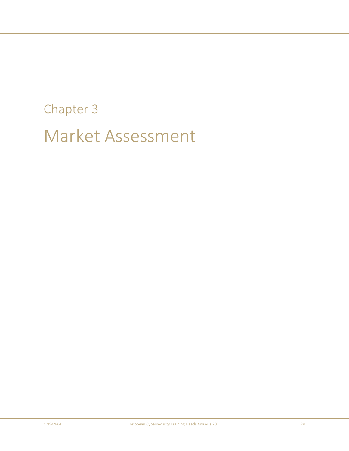# Chapter 3 Market Assessment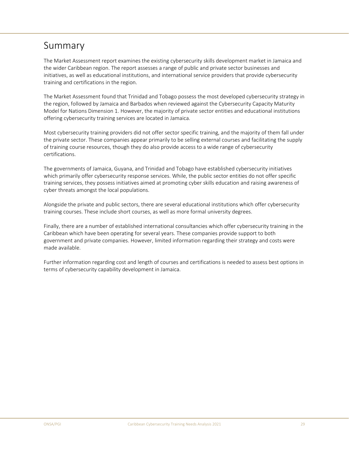## Summary

The Market Assessment report examines the existing cybersecurity skills development market in Jamaica and the wider Caribbean region. The report assesses a range of public and private sector businesses and initiatives, as well as educational institutions, and international service providers that provide cybersecurity training and certifications in the region.

The Market Assessment found that Trinidad and Tobago possess the most developed cybersecurity strategy in the region, followed by Jamaica and Barbados when reviewed against the Cybersecurity Capacity Maturity Model for Nations Dimension 1. However, the majority of private sector entities and educational institutions offering cybersecurity training services are located in Jamaica.

Most cybersecurity training providers did not offer sector specific training, and the majority of them fall under the private sector. These companies appear primarily to be selling external courses and facilitating the supply of training course resources, though they do also provide access to a wide range of cybersecurity certifications.

The governments of Jamaica, Guyana, and Trinidad and Tobago have established cybersecurity initiatives which primarily offer cybersecurity response services. While, the public sector entities do not offer specific training services, they possess initiatives aimed at promoting cyber skills education and raising awareness of cyber threats amongst the local populations.

Alongside the private and public sectors, there are several educational institutions which offer cybersecurity training courses. These include short courses, as well as more formal university degrees.

Finally, there are a number of established international consultancies which offer cybersecurity training in the Caribbean which have been operating for several years. These companies provide support to both government and private companies. However, limited information regarding their strategy and costs were made available.

Further information regarding cost and length of courses and certifications is needed to assess best options in terms of cybersecurity capability development in Jamaica.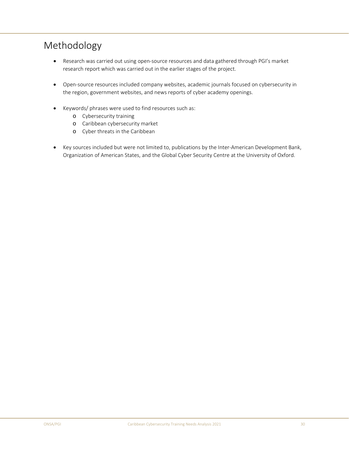## Methodology

- Research was carried out using open-source resources and data gathered through PGI's market research report which was carried out in the earlier stages of the project.
- Open‐source resources included company websites, academic journals focused on cybersecurity in the region, government websites, and news reports of cyber academy openings.
- Keywords/ phrases were used to find resources such as:
	- o Cybersecurity training
	- o Caribbean cybersecurity market
	- o Cyber threats in the Caribbean
- Key sources included but were not limited to, publications by the Inter‐American Development Bank, Organization of American States, and the Global Cyber Security Centre at the University of Oxford.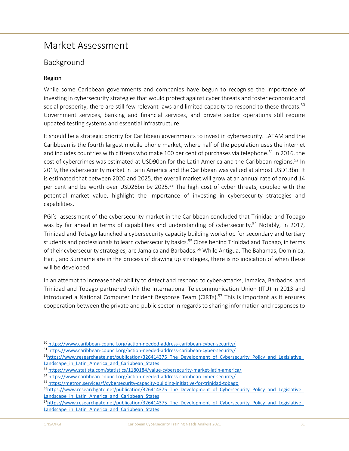## Market Assessment

## Background

## Region

While some Caribbean governments and companies have begun to recognise the importance of investing in cybersecurity strategies that would protect against cyber threats and foster economic and social prosperity, there are still few relevant laws and limited capacity to respond to these threats.<sup>50</sup> Government services, banking and financial services, and private sector operations still require updated testing systems and essential infrastructure.

It should be a strategic priority for Caribbean governments to invest in cybersecurity. LATAM and the Caribbean is the fourth largest mobile phone market, where half of the population uses the internet and includes countries with citizens who make 100 per cent of purchases via telephone.<sup>51</sup> In 2016, the cost of cybercrimes was estimated at USD90bn for the Latin America and the Caribbean regions.<sup>52</sup> In 2019, the cybersecurity market in Latin America and the Caribbean was valued at almost USD13bn. It is estimated that between 2020 and 2025, the overall market will grow at an annual rate of around 14 per cent and be worth over USD26bn by 2025.<sup>53</sup> The high cost of cyber threats, coupled with the potential market value, highlight the importance of investing in cybersecurity strategies and capabilities.

PGI's assessment of the cybersecurity market in the Caribbean concluded that Trinidad and Tobago was by far ahead in terms of capabilities and understanding of cybersecurity.<sup>54</sup> Notably, in 2017, Trinidad and Tobago launched a cybersecurity capacity building workshop for secondary and tertiary students and professionals to learn cybersecurity basics.<sup>55</sup> Close behind Trinidad and Tobago, in terms of their cybersecurity strategies, are Jamaica and Barbados.<sup>56</sup> While Antigua, The Bahamas, Dominica, Haiti, and Suriname are in the process of drawing up strategies, there is no indication of when these will be developed.

In an attempt to increase their ability to detect and respond to cyber‐attacks, Jamaica, Barbados, and Trinidad and Tobago partnered with the International Telecommunication Union (ITU) in 2013 and introduced a National Computer Incident Response Team (CIRTs).<sup>57</sup> This is important as it ensures cooperation between the private and public sector in regards to sharing information and responses to

<sup>50</sup> https://www.caribbean-council.org/action-needed-address-caribbean-cyber-security/

<sup>51</sup> https://www.caribbean‐council.org/action‐needed‐address‐caribbean‐cyber‐security/

<sup>52</sup>https://www.researchgate.net/publication/326414375 The Development of Cybersecurity Policy and Legislative Landscape\_in\_Latin\_America\_and\_Caribbean\_States

<sup>53</sup> https://www.statista.com/statistics/1180184/value-cybersecurity-market-latin-america/

<sup>54</sup> https://www.caribbean‐council.org/action‐needed‐address‐caribbean‐cyber‐security/

<sup>55</sup> https://metron.services/f/cybersecurity-capacity-building-initiative-for-trinidad-tobago

<sup>&</sup>lt;sup>56</sup>https://www.researchgate.net/publication/326414375 The Development of Cybersecurity Policy and Legislative Landscape in Latin America and Caribbean States

<sup>57</sup>https://www.researchgate.net/publication/326414375 The Development of Cybersecurity Policy and Legislative Landscape in Latin America and Caribbean States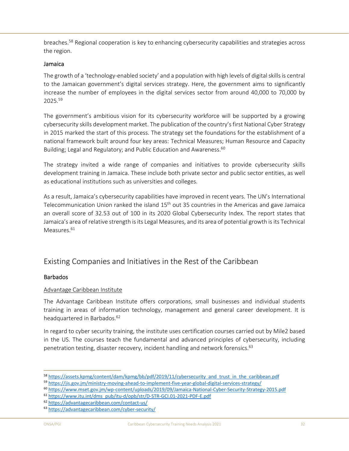breaches.<sup>58</sup> Regional cooperation is key to enhancing cybersecurity capabilities and strategies across the region.

## Jamaica

The growth of a 'technology‐enabled society' and a population with high levels of digital skills is central to the Jamaican government's digital services strategy. Here, the government aims to significantly increase the number of employees in the digital services sector from around 40,000 to 70,000 by 2025.59

The government's ambitious vision for its cybersecurity workforce will be supported by a growing cybersecurity skills development market. The publication of the country's first National Cyber Strategy in 2015 marked the start of this process. The strategy set the foundations for the establishment of a national framework built around four key areas: Technical Measures; Human Resource and Capacity Building; Legal and Regulatory; and Public Education and Awareness.<sup>60</sup>

The strategy invited a wide range of companies and initiatives to provide cybersecurity skills development training in Jamaica. These include both private sector and public sector entities, as well as educational institutions such as universities and colleges.

As a result, Jamaica's cybersecurity capabilities have improved in recent years. The UN's International Telecommunication Union ranked the island  $15<sup>th</sup>$  out 35 countries in the Americas and gave Jamaica an overall score of 32.53 out of 100 in its 2020 Global Cybersecurity Index. The report states that Jamaica's area of relative strength is its Legal Measures, and its area of potential growth is its Technical Measures.<sup>61</sup>

## Existing Companies and Initiatives in the Rest of the Caribbean

## **Barbados**

## Advantage Caribbean Institute

The Advantage Caribbean Institute offers corporations, small businesses and individual students training in areas of information technology, management and general career development. It is headquartered in Barbados.<sup>62</sup>

In regard to cyber security training, the institute uses certification courses carried out by Mile2 based in the US. The courses teach the fundamental and advanced principles of cybersecurity, including penetration testing, disaster recovery, incident handling and network forensics.<sup>63</sup>

<sup>58</sup> https://assets.kpmg/content/dam/kpmg/bb/pdf/2019/11/cybersecurity\_and\_trust\_in\_the\_caribbean.pdf

<sup>59</sup> https://jis.gov.jm/ministry-moving-ahead-to-implement-five-year-global-digital-services-strategy/

<sup>60</sup> https://www.mset.gov.jm/wp‐content/uploads/2019/09/Jamaica‐National‐Cyber‐Security‐Strategy‐2015.pdf

<sup>61</sup> https://www.itu.int/dms\_pub/itu‐d/opb/str/D‐STR‐GCI.01‐2021‐PDF‐E.pdf

<sup>62</sup> https://advantagecaribbean.com/contact‐us/

<sup>63</sup> https://advantagecaribbean.com/cyber‐security/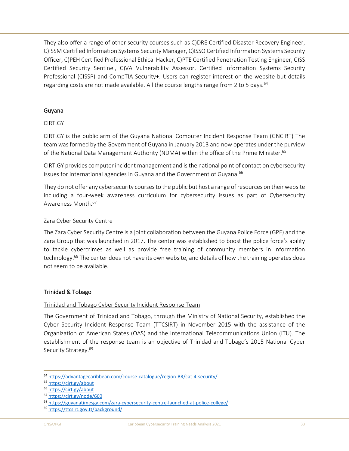They also offer a range of other security courses such as C)DRE Certified Disaster Recovery Engineer, C)ISSM Certified Information Systems Security Manager, C)ISSO Certified Information Systems Security Officer, C)PEH Certified Professional Ethical Hacker, C)PTE Certified Penetration Testing Engineer, C)SS Certified Security Sentinel, C)VA Vulnerability Assessor, Certified Information Systems Security Professional (CISSP) and CompTIA Security+. Users can register interest on the website but details regarding costs are not made available. All the course lengths range from 2 to 5 days.  $64$ 

## Guyana

## CIRT.GY

CIRT.GY is the public arm of the Guyana National Computer Incident Response Team (GNCIRT) The team was formed by the Government of Guyana in January 2013 and now operates under the purview of the National Data Management Authority (NDMA) within the office of the Prime Minister.<sup>65</sup>

CIRT.GY provides computer incident management and is the national point of contact on cybersecurity issues for international agencies in Guyana and the Government of Guyana.<sup>66</sup>

They do not offer any cybersecurity courses to the public but host a range of resources on their website including a four‐week awareness curriculum for cybersecurity issues as part of Cybersecurity Awareness Month.67

## Zara Cyber Security Centre

The Zara Cyber Security Centre is a joint collaboration between the Guyana Police Force (GPF) and the Zara Group that was launched in 2017. The center was established to boost the police force's ability to tackle cybercrimes as well as provide free training of community members in information technology.68 The center does not have its own website, and details of how the training operates does not seem to be available.

## Trinidad & Tobago

## Trinidad and Tobago Cyber Security Incident Response Team

The Government of Trinidad and Tobago, through the Ministry of National Security, established the Cyber Security Incident Response Team (TTCSIRT) in November 2015 with the assistance of the Organization of American States (OAS) and the International Telecommunications Union (ITU). The establishment of the response team is an objective of Trinidad and Tobago's 2015 National Cyber Security Strategy.<sup>69</sup>

<sup>64</sup> https://advantagecaribbean.com/course‐catalogue/region‐BR/cat‐4‐security/

<sup>65</sup> https://cirt.gy/about

<sup>66</sup> https://cirt.gy/about

<sup>67</sup> https://cirt.gy/node/660

<sup>68</sup> https://guyanatimesgy.com/zara‐cybersecurity‐centre‐launched‐at‐police‐college/

<sup>69</sup> https://ttcsirt.gov.tt/background/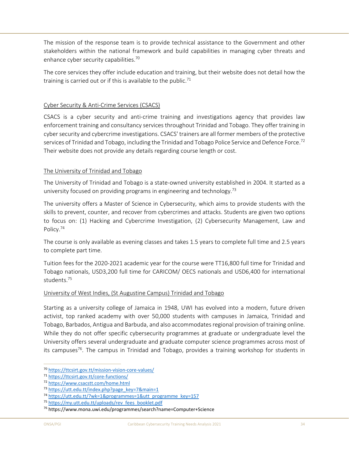The mission of the response team is to provide technical assistance to the Government and other stakeholders within the national framework and build capabilities in managing cyber threats and enhance cyber security capabilities.<sup>70</sup>

The core services they offer include education and training, but their website does not detail how the training is carried out or if this is available to the public.<sup>71</sup>

## Cyber Security & Anti‐Crime Services (CSACS)

CSACS is a cyber security and anti-crime training and investigations agency that provides law enforcement training and consultancy services throughout Trinidad and Tobago. They offer training in cyber security and cybercrime investigations. CSACS' trainers are all former members of the protective services of Trinidad and Tobago, including the Trinidad and Tobago Police Service and Defence Force.<sup>72</sup> Their website does not provide any details regarding course length or cost.

## The University of Trinidad and Tobago

The University of Trinidad and Tobago is a state-owned university established in 2004. It started as a university focused on providing programs in engineering and technology.<sup>73</sup>

The university offers a Master of Science in Cybersecurity, which aims to provide students with the skills to prevent, counter, and recover from cybercrimes and attacks. Students are given two options to focus on: (1) Hacking and Cybercrime Investigation, (2) Cybersecurity Management, Law and Policy.74

The course is only available as evening classes and takes 1.5 years to complete full time and 2.5 years to complete part time.

Tuition fees for the 2020‐2021 academic year for the course were TT16,800 full time for Trinidad and Tobago nationals, USD3,200 full time for CARICOM/ OECS nationals and USD6,400 for international students.75

## University of West Indies, (St Augustine Campus) Trinidad and Tobago

Starting as a university college of Jamaica in 1948, UWI has evolved into a modern, future driven activist, top ranked academy with over 50,000 students with campuses in Jamaica, Trinidad and Tobago, Barbados, Antigua and Barbuda, and also accommodates regional provision of training online. While they do not offer specific cybersecurity programmes at graduate or undergraduate level the University offers several undergraduate and graduate computer science programmes across most of its campuses<sup>76</sup>. The campus in Trinidad and Tobago, provides a training workshop for students in

<sup>70</sup> https://ttcsirt.gov.tt/mission‐vision‐core‐values/

<sup>71</sup> https://ttcsirt.gov.tt/core‐functions/

<sup>72</sup> https://www.csacstt.com/home.html

<sup>73</sup> https://utt.edu.tt/index.php?page\_key=7&main=1

<sup>74</sup> https://utt.edu.tt/?wk=1&programmes=1&utt\_programme\_key=157

<sup>75</sup> https://my.utt.edu.tt/uploads/rev\_fees\_booklet.pdf

<sup>76</sup> https://www.mona.uwi.edu/programmes/search?name=Computer+Science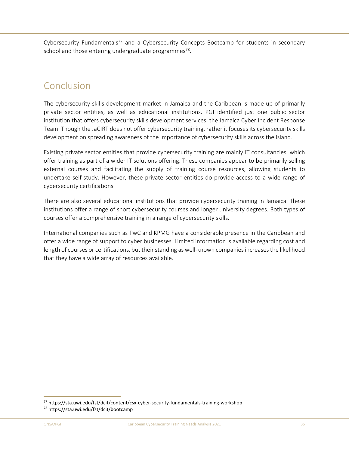Cybersecurity Fundamentals<sup>77</sup> and a Cybersecurity Concepts Bootcamp for students in secondary school and those entering undergraduate programmes $^{78}$ .

## Conclusion

The cybersecurity skills development market in Jamaica and the Caribbean is made up of primarily private sector entities, as well as educational institutions. PGI identified just one public sector institution that offers cybersecurity skills development services: the Jamaica Cyber Incident Response Team. Though the JaCIRT does not offer cybersecurity training, rather it focuses its cybersecurity skills development on spreading awareness of the importance of cybersecurity skills across the island.

Existing private sector entities that provide cybersecurity training are mainly IT consultancies, which offer training as part of a wider IT solutions offering. These companies appear to be primarily selling external courses and facilitating the supply of training course resources, allowing students to undertake self-study. However, these private sector entities do provide access to a wide range of cybersecurity certifications.

There are also several educational institutions that provide cybersecurity training in Jamaica. These institutions offer a range of short cybersecurity courses and longer university degrees. Both types of courses offer a comprehensive training in a range of cybersecurity skills.

International companies such as PwC and KPMG have a considerable presence in the Caribbean and offer a wide range of support to cyber businesses. Limited information is available regarding cost and length of courses or certifications, but their standing as well-known companies increases the likelihood that they have a wide array of resources available.

<sup>77</sup> https://sta.uwi.edu/fst/dcit/content/csx‐cyber‐security‐fundamentals‐training‐workshop 78 https://sta.uwi.edu/fst/dcit/bootcamp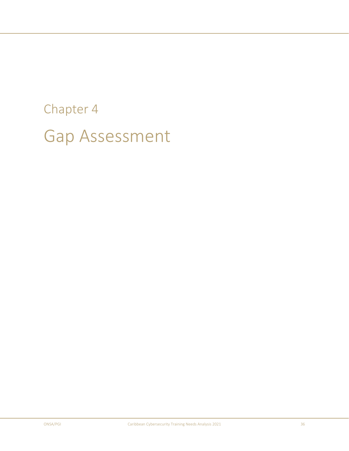# Chapter 4 Gap Assessment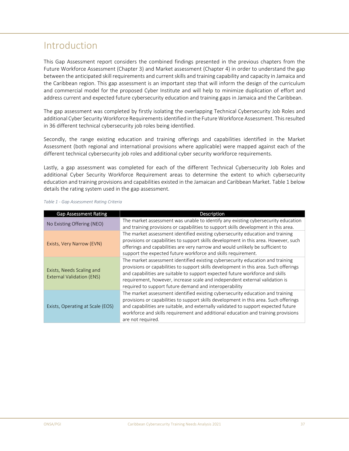## Introduction

This Gap Assessment report considers the combined findings presented in the previous chapters from the Future Workforce Assessment (Chapter 3) and Market assessment (Chapter 4) in order to understand the gap between the anticipated skill requirements and current skills and training capability and capacity in Jamaica and the Caribbean region. This gap assessment is an important step that will inform the design of the curriculum and commercial model for the proposed Cyber Institute and will help to minimize duplication of effort and address current and expected future cybersecurity education and training gaps in Jamaica and the Caribbean.

The gap assessment was completed by firstly isolating the overlapping Technical Cybersecurity Job Roles and additional Cyber Security Workforce Requirements identified in the Future Workforce Assessment. This resulted in 36 different technical cybersecurity job roles being identified.

Secondly, the range existing education and training offerings and capabilities identified in the Market Assessment (both regional and international provisions where applicable) were mapped against each of the different technical cybersecurity job roles and additional cyber security workforce requirements.

Lastly, a gap assessment was completed for each of the different Technical Cybersecurity Job Roles and additional Cyber Security Workforce Requirement areas to determine the extent to which cybersecurity education and training provisions and capabilities existed in the Jamaican and Caribbean Market. Table 1 below details the rating system used in the gap assessment.

| <b>Gap Assessment Rating</b>                                  | Description                                                                                                                                                                                                                                                                                                                                                                                       |
|---------------------------------------------------------------|---------------------------------------------------------------------------------------------------------------------------------------------------------------------------------------------------------------------------------------------------------------------------------------------------------------------------------------------------------------------------------------------------|
| No Existing Offering (NEO)                                    | The market assessment was unable to identify any existing cybersecurity education<br>and training provisions or capabilities to support skills development in this area.                                                                                                                                                                                                                          |
| Exists, Very Narrow (EVN)                                     | The market assessment identified existing cybersecurity education and training<br>provisions or capabilities to support skills development in this area. However, such<br>offerings and capabilities are very narrow and would unlikely be sufficient to<br>support the expected future workforce and skills requirement.                                                                         |
| Exists, Needs Scaling and<br><b>External Validation (ENS)</b> | The market assessment identified existing cybersecurity education and training<br>provisions or capabilities to support skills development in this area. Such offerings<br>and capabilities are suitable to support expected future workforce and skills<br>requirement, however, increase scale and independent external validation is<br>required to support future demand and interoperability |
| Exists, Operating at Scale (EOS)                              | The market assessment identified existing cybersecurity education and training<br>provisions or capabilities to support skills development in this area. Such offerings<br>and capabilities are suitable, and externally validated to support expected future<br>workforce and skills requirement and additional education and training provisions<br>are not required.                           |

#### *Table 1 ‐ Gap Assessment Rating Criteria*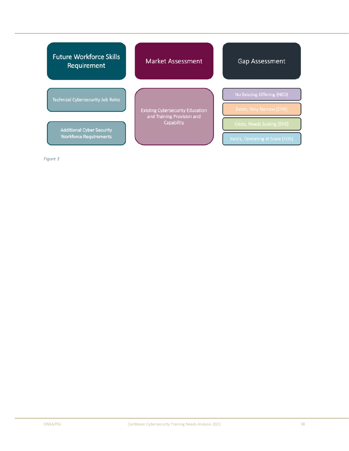| <b>Future Workforce Skills</b><br>Requirement | <b>Market Assessment</b>                                                            | <b>Gap Assessment</b>                                           |
|-----------------------------------------------|-------------------------------------------------------------------------------------|-----------------------------------------------------------------|
| Technical Cybersecurity Job Roles             |                                                                                     | No Existing Offering (NEO)                                      |
| <b>Additional Cyber Security</b>              | <b>Existing Cybersecurity Education</b><br>and Training Provision and<br>Capability | Exists, Very Narrow (EVN)<br><b>Exists, Needs Scaling (ENS)</b> |
| <b>Workforce Requirements</b>                 |                                                                                     | <b>Exists, Operating at Scale (EOS)</b>                         |

*Figure 3*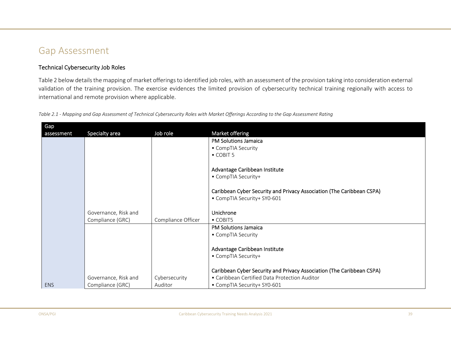## Gap Assessment

## Technical Cybersecurity Job Roles

Table 2 below details the mapping of market offerings to identified job roles, with an assessment of the provision taking into consideration external validation of the training provision. The exercise evidences the limited provision of cybersecurity technical training regionally with access to international and remote provision where applicable.

*Table 2.1 ‐ Mapping and Gap Assessment of Technical Cybersecurity Roles with Market Offerings According to the Gap Assessment Rating* 

| Gap        |                      |                    |                                                                       |
|------------|----------------------|--------------------|-----------------------------------------------------------------------|
| assessment | Specialty area       | Job role           | Market offering                                                       |
|            |                      |                    | <b>PM Solutions Jamaica</b>                                           |
|            |                      |                    | • CompTIA Security                                                    |
|            |                      |                    | $\bullet$ COBIT 5                                                     |
|            |                      |                    | Advantage Caribbean Institute                                         |
|            |                      |                    | • CompTIA Security+                                                   |
|            |                      |                    | Caribbean Cyber Security and Privacy Association (The Caribbean CSPA) |
|            |                      |                    | • CompTIA Security+ SY0-601                                           |
|            |                      |                    |                                                                       |
|            | Governance, Risk and |                    | Unichrone                                                             |
|            | Compliance (GRC)     | Compliance Officer | $\bullet$ COBIT5                                                      |
|            |                      |                    | <b>PM Solutions Jamaica</b>                                           |
|            |                      |                    | • CompTIA Security                                                    |
|            |                      |                    | Advantage Caribbean Institute                                         |
|            |                      |                    | • CompTIA Security+                                                   |
|            |                      |                    |                                                                       |
|            |                      |                    | Caribbean Cyber Security and Privacy Association (The Caribbean CSPA) |
|            | Governance, Risk and | Cybersecurity      | • Caribbean Certified Data Protection Auditor                         |
| ENS        | Compliance (GRC)     | Auditor            | • CompTIA Security+ SY0-601                                           |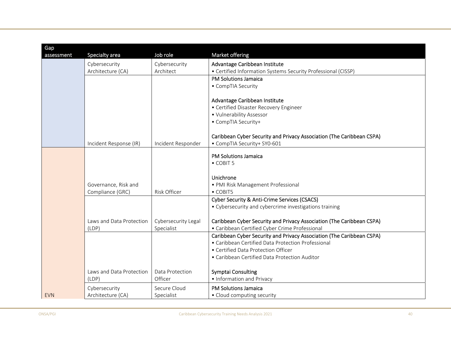| Gap        |                          |                     |                                                                       |
|------------|--------------------------|---------------------|-----------------------------------------------------------------------|
| assessment | Specialty area           | Job role            | Market offering                                                       |
|            | Cybersecurity            | Cybersecurity       | Advantage Caribbean Institute                                         |
|            | Architecture (CA)        | Architect           | • Certified Information Systems Security Professional (CISSP)         |
|            |                          |                     | <b>PM Solutions Jamaica</b>                                           |
|            |                          |                     | • CompTIA Security                                                    |
|            |                          |                     |                                                                       |
|            |                          |                     | Advantage Caribbean Institute                                         |
|            |                          |                     | • Certified Disaster Recovery Engineer<br>• Vulnerability Assessor    |
|            |                          |                     | • CompTIA Security+                                                   |
|            |                          |                     |                                                                       |
|            |                          |                     | Caribbean Cyber Security and Privacy Association (The Caribbean CSPA) |
|            | Incident Response (IR)   | Incident Responder  | • CompTIA Security+ SY0-601                                           |
|            |                          |                     |                                                                       |
|            |                          |                     | <b>PM Solutions Jamaica</b><br>• COBIT 5                              |
|            |                          |                     |                                                                       |
|            |                          |                     | Unichrone                                                             |
|            | Governance, Risk and     |                     | · PMI Risk Management Professional                                    |
|            | Compliance (GRC)         | Risk Officer        | $\bullet$ COBIT5                                                      |
|            |                          |                     | Cyber Security & Anti-Crime Services (CSACS)                          |
|            |                          |                     | • Cybersecurity and cybercrime investigations training                |
|            |                          |                     |                                                                       |
|            | Laws and Data Protection | Cybersecurity Legal | Caribbean Cyber Security and Privacy Association (The Caribbean CSPA) |
|            | (LDP)                    | Specialist          | • Caribbean Certified Cyber Crime Professional                        |
|            |                          |                     | Caribbean Cyber Security and Privacy Association (The Caribbean CSPA) |
|            |                          |                     | • Caribbean Certified Data Protection Professional                    |
|            |                          |                     | • Certified Data Protection Officer                                   |
|            |                          |                     | • Caribbean Certified Data Protection Auditor                         |
|            | Laws and Data Protection | Data Protection     | <b>Symptai Consulting</b>                                             |
|            | (LDP)                    | Officer             | • Information and Privacy                                             |
|            | Cybersecurity            | Secure Cloud        | <b>PM Solutions Jamaica</b>                                           |
| <b>EVN</b> | Architecture (CA)        | Specialist          | • Cloud computing security                                            |
|            |                          |                     |                                                                       |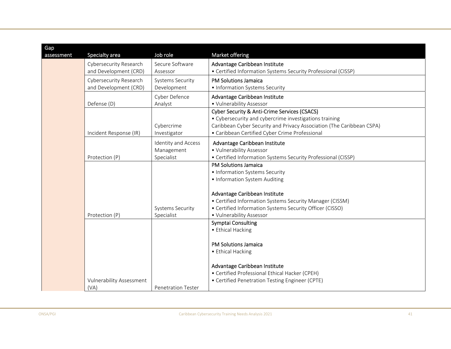| Gap        |                                 |                           |                                                                       |
|------------|---------------------------------|---------------------------|-----------------------------------------------------------------------|
| assessment | Specialty area                  | Job role                  | Market offering                                                       |
|            | Cybersecurity Research          | Secure Software           | Advantage Caribbean Institute                                         |
|            | and Development (CRD)           | Assessor                  | • Certified Information Systems Security Professional (CISSP)         |
|            | Cybersecurity Research          | <b>Systems Security</b>   | <b>PM Solutions Jamaica</b>                                           |
|            | and Development (CRD)           | Development               | • Information Systems Security                                        |
|            |                                 | Cyber Defence             | Advantage Caribbean Institute                                         |
|            | Defense (D)                     | Analyst                   | • Vulnerability Assessor                                              |
|            |                                 |                           | <b>Cyber Security &amp; Anti-Crime Services (CSACS)</b>               |
|            |                                 |                           | • Cybersecurity and cybercrime investigations training                |
|            |                                 | Cybercrime                | Caribbean Cyber Security and Privacy Association (The Caribbean CSPA) |
|            | Incident Response (IR)          | Investigator              | • Caribbean Certified Cyber Crime Professional                        |
|            |                                 | Identity and Access       | Advantage Caribbean Institute                                         |
|            |                                 | Management                | • Vulnerability Assessor                                              |
|            | Protection (P)                  | Specialist                | • Certified Information Systems Security Professional (CISSP)         |
|            |                                 |                           | <b>PM Solutions Jamaica</b>                                           |
|            |                                 |                           | • Information Systems Security                                        |
|            |                                 |                           | • Information System Auditing                                         |
|            |                                 |                           | Advantage Caribbean Institute                                         |
|            |                                 |                           | • Certified Information Systems Security Manager (CISSM)              |
|            |                                 | <b>Systems Security</b>   | • Certified Information Systems Security Officer (CISSO)              |
|            | Protection (P)                  | Specialist                | • Vulnerability Assessor                                              |
|            |                                 |                           | <b>Symptai Consulting</b>                                             |
|            |                                 |                           | • Ethical Hacking                                                     |
|            |                                 |                           |                                                                       |
|            |                                 |                           | <b>PM Solutions Jamaica</b>                                           |
|            |                                 |                           | • Ethical Hacking                                                     |
|            |                                 |                           | Advantage Caribbean Institute                                         |
|            |                                 |                           | • Certified Professional Ethical Hacker (CPEH)                        |
|            | <b>Vulnerability Assessment</b> |                           | • Certified Penetration Testing Engineer (CPTE)                       |
|            | (VA)                            | <b>Penetration Tester</b> |                                                                       |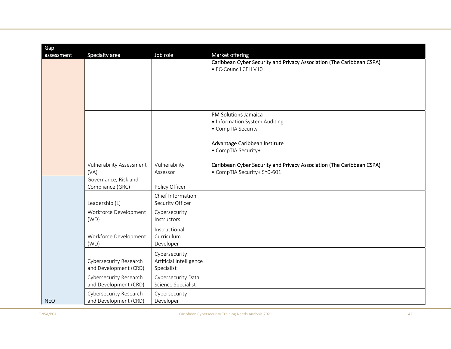| <b>Gap</b> |                                 |                         |                                                                       |
|------------|---------------------------------|-------------------------|-----------------------------------------------------------------------|
| assessment | Specialty area                  | Job role                | Market offering                                                       |
|            |                                 |                         | Caribbean Cyber Security and Privacy Association (The Caribbean CSPA) |
|            |                                 |                         | • EC-Council CEH V10                                                  |
|            |                                 |                         |                                                                       |
|            |                                 |                         |                                                                       |
|            |                                 |                         |                                                                       |
|            |                                 |                         |                                                                       |
|            |                                 |                         |                                                                       |
|            |                                 |                         | <b>PM Solutions Jamaica</b>                                           |
|            |                                 |                         | • Information System Auditing<br>• CompTIA Security                   |
|            |                                 |                         |                                                                       |
|            |                                 |                         | Advantage Caribbean Institute                                         |
|            |                                 |                         | • CompTIA Security+                                                   |
|            |                                 |                         |                                                                       |
|            | <b>Vulnerability Assessment</b> | Vulnerability           | Caribbean Cyber Security and Privacy Association (The Caribbean CSPA) |
|            | (VA)                            | Assessor                | • CompTIA Security+ SY0-601                                           |
|            | Governance, Risk and            |                         |                                                                       |
|            | Compliance (GRC)                | Policy Officer          |                                                                       |
|            |                                 | Chief Information       |                                                                       |
|            | Leadership (L)                  | Security Officer        |                                                                       |
|            | Workforce Development           | Cybersecurity           |                                                                       |
|            | (WD)                            | Instructors             |                                                                       |
|            |                                 | Instructional           |                                                                       |
|            | Workforce Development           | Curriculum              |                                                                       |
|            | (WD)                            | Developer               |                                                                       |
|            |                                 | Cybersecurity           |                                                                       |
|            | Cybersecurity Research          | Artificial Intelligence |                                                                       |
|            | and Development (CRD)           | Specialist              |                                                                       |
|            | Cybersecurity Research          | Cybersecurity Data      |                                                                       |
|            | and Development (CRD)           | Science Specialist      |                                                                       |
|            | Cybersecurity Research          | Cybersecurity           |                                                                       |
| <b>NEO</b> | and Development (CRD)           | Developer               |                                                                       |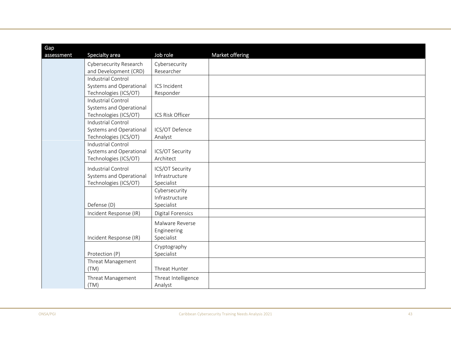| Gap<br>assessment | Specialty area            | Job role            | Market offering |
|-------------------|---------------------------|---------------------|-----------------|
|                   | Cybersecurity Research    | Cybersecurity       |                 |
|                   | and Development (CRD)     | Researcher          |                 |
|                   | <b>Industrial Control</b> |                     |                 |
|                   | Systems and Operational   | ICS Incident        |                 |
|                   | Technologies (ICS/OT)     | Responder           |                 |
|                   | Industrial Control        |                     |                 |
|                   | Systems and Operational   |                     |                 |
|                   | Technologies (ICS/OT)     | ICS Risk Officer    |                 |
|                   | <b>Industrial Control</b> |                     |                 |
|                   | Systems and Operational   | ICS/OT Defence      |                 |
|                   | Technologies (ICS/OT)     | Analyst             |                 |
|                   | <b>Industrial Control</b> |                     |                 |
|                   | Systems and Operational   | ICS/OT Security     |                 |
|                   | Technologies (ICS/OT)     | Architect           |                 |
|                   | <b>Industrial Control</b> | ICS/OT Security     |                 |
|                   | Systems and Operational   | Infrastructure      |                 |
|                   | Technologies (ICS/OT)     | Specialist          |                 |
|                   |                           | Cybersecurity       |                 |
|                   |                           | Infrastructure      |                 |
|                   | Defense (D)               | Specialist          |                 |
|                   | Incident Response (IR)    | Digital Forensics   |                 |
|                   |                           | Malware Reverse     |                 |
|                   |                           | Engineering         |                 |
|                   | Incident Response (IR)    | Specialist          |                 |
|                   |                           | Cryptography        |                 |
|                   | Protection (P)            | Specialist          |                 |
|                   | Threat Management         |                     |                 |
|                   | (TM)                      | Threat Hunter       |                 |
|                   | Threat Management         | Threat Intelligence |                 |
|                   | (TM)                      | Analyst             |                 |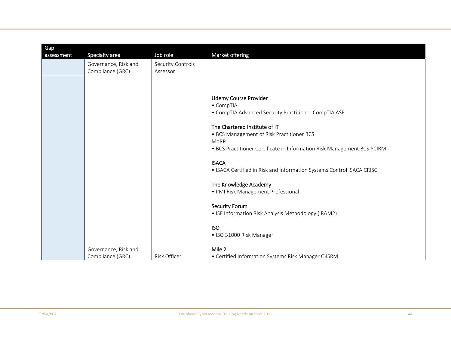| Gap        |                      |                   |                                                                              |
|------------|----------------------|-------------------|------------------------------------------------------------------------------|
| assessment | Specialty area       | Job role          | Market offering                                                              |
|            | Governance, Risk and | Security Controls |                                                                              |
|            | Compliance (GRC)     | Assessor          |                                                                              |
|            |                      |                   |                                                                              |
|            |                      |                   |                                                                              |
|            |                      |                   | <b>Udemy Course Provider</b>                                                 |
|            |                      |                   | • CompTIA                                                                    |
|            |                      |                   | • CompTIA Advanced Security Practitioner CompTIA ASP                         |
|            |                      |                   |                                                                              |
|            |                      |                   | The Chartered Institute of IT                                                |
|            |                      |                   | • BCS Management of Risk Practitioner BCS<br>MoRP                            |
|            |                      |                   | • BCS Practitioner Certificate in Information Risk Management BCS PCIRM      |
|            |                      |                   |                                                                              |
|            |                      |                   | <b>ISACA</b>                                                                 |
|            |                      |                   | • ISACA Certified in Risk and Information Systems Control ISACA CRISC        |
|            |                      |                   |                                                                              |
|            |                      |                   | The Knowledge Academy                                                        |
|            |                      |                   | · PMI Risk Management Professional                                           |
|            |                      |                   |                                                                              |
|            |                      |                   | <b>Security Forum</b><br>• ISF Information Risk Analysis Methodology (IRAM2) |
|            |                      |                   |                                                                              |
|            |                      |                   | <b>ISO</b>                                                                   |
|            |                      |                   | • ISO 31000 Risk Manager                                                     |
|            |                      |                   |                                                                              |
|            | Governance, Risk and |                   | Mile 2                                                                       |
|            | Compliance (GRC)     | Risk Officer      | • Certified Information Systems Risk Manager C)ISRM                          |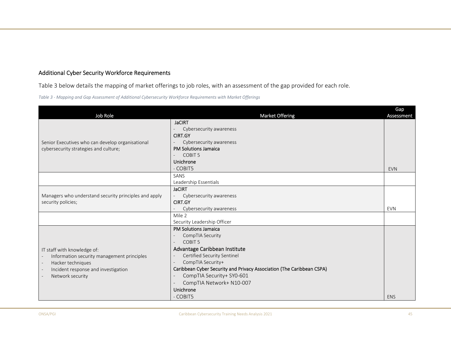## Additional Cyber Security Workforce Requirements

Table 3 below details the mapping of market offerings to job roles, with an assessment of the gap provided for each role.

*Table 3 ‐ Mapping and Gap Assessment of Additional Cybersecurity Workforce Requirements with Market Offerings* 

| Job Role                                                                                                                                                  | <b>Market Offering</b>                                                                                                                                                                                                                                                                                                | Gap<br><b>Assessment</b> |
|-----------------------------------------------------------------------------------------------------------------------------------------------------------|-----------------------------------------------------------------------------------------------------------------------------------------------------------------------------------------------------------------------------------------------------------------------------------------------------------------------|--------------------------|
| Senior Executives who can develop organisational<br>cybersecurity strategies and culture;                                                                 | <b>JaCIRT</b><br>Cybersecurity awareness<br><b>CIRT.GY</b><br>Cybersecurity awareness<br><b>PM Solutions Jamaica</b><br>COBIT <sub>5</sub><br>Unichrone<br>- COBIT5                                                                                                                                                   | <b>EVN</b>               |
|                                                                                                                                                           | SANS<br>Leadership Essentials                                                                                                                                                                                                                                                                                         |                          |
| Managers who understand security principles and apply<br>security policies;                                                                               | <b>JaCIRT</b><br>Cybersecurity awareness<br><b>CIRT.GY</b><br>Cybersecurity awareness                                                                                                                                                                                                                                 | <b>EVN</b>               |
|                                                                                                                                                           | Mile 2<br>Security Leadership Officer                                                                                                                                                                                                                                                                                 |                          |
| IT staff with knowledge of:<br>Information security management principles<br>Hacker techniques<br>Incident response and investigation<br>Network security | <b>PM Solutions Jamaica</b><br>CompTIA Security<br>COBIT <sub>5</sub><br>Advantage Caribbean Institute<br>Certified Security Sentinel<br>CompTIA Security+<br>Caribbean Cyber Security and Privacy Association (The Caribbean CSPA)<br>CompTIA Security+ SY0-601<br>CompTIA Network+ N10-007<br>Unichrone<br>- COBIT5 | <b>ENS</b>               |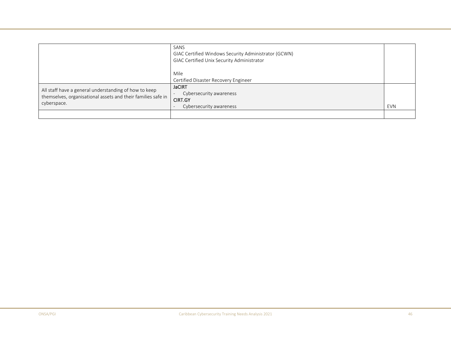|                                                                                                                                      | SANS<br>GIAC Certified Windows Security Administrator (GCWN)<br>GIAC Certified Unix Security Administrator |            |
|--------------------------------------------------------------------------------------------------------------------------------------|------------------------------------------------------------------------------------------------------------|------------|
|                                                                                                                                      | Mile<br>Certified Disaster Recovery Engineer                                                               |            |
| All staff have a general understanding of how to keep<br>themselves, organisational assets and their families safe in<br>cyberspace. | <b>JaCIRT</b><br>Cybersecurity awareness<br><b>CIRT.GY</b><br>Cybersecurity awareness                      | <b>EVN</b> |
|                                                                                                                                      |                                                                                                            |            |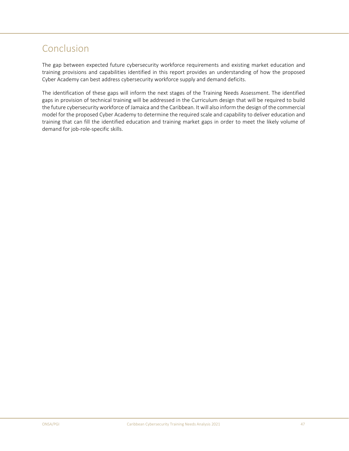## Conclusion

The gap between expected future cybersecurity workforce requirements and existing market education and training provisions and capabilities identified in this report provides an understanding of how the proposed Cyber Academy can best address cybersecurity workforce supply and demand deficits.

The identification of these gaps will inform the next stages of the Training Needs Assessment. The identified gaps in provision of technical training will be addressed in the Curriculum design that will be required to build the future cybersecurity workforce of Jamaica and the Caribbean. It will also inform the design of the commercial model for the proposed Cyber Academy to determine the required scale and capability to deliver education and training that can fill the identified education and training market gaps in order to meet the likely volume of demand for job-role-specific skills.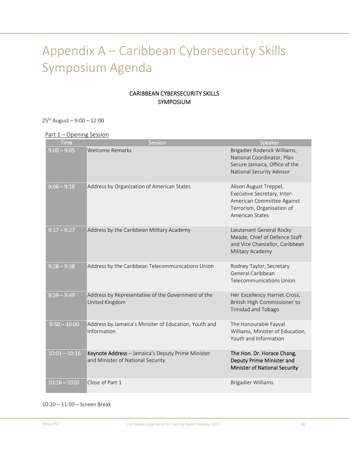# Appendix A – Caribbean Cybersecurity Skills Symposium Agenda

## CARIBBEAN CYBERSECURITY SKILLS SYMPOSIUM

25th August – 9:00 – 12:00

Part 1 – Opening Session

| <b>Time</b>     | Session                                                                                | Speaker                                                                                                                                     |
|-----------------|----------------------------------------------------------------------------------------|---------------------------------------------------------------------------------------------------------------------------------------------|
| $9:00 - 9:05$   | <b>Welcome Remarks</b>                                                                 | Brigadier Roderick Williams,<br>National Coordinator, Plan<br>Secure Jamaica, Office of the<br>National Security Advisor                    |
| $9:06 - 9:16$   | Address by Organization of American States                                             | Alison August Treppel,<br>Executive Secretary, Inter-<br>American Committee Against<br>Terrorism, Organisation of<br><b>American States</b> |
| $9:17 - 9:27$   | Address by the Caribbean Military Academy                                              | Lieutenant General Rocky<br>Meade, Chief of Defence Staff<br>and Vice Chancellor, Caribbean<br>Military Academy                             |
| $9:28 - 9:38$   | Address by the Caribbean Telecommunications Union                                      | Rodney Taylor, Secretary<br>General Caribbean<br><b>Telecommunications Union</b>                                                            |
| $9:39 - 9:49$   | Address by Representative of the Government of the<br>United Kingdom                   | Her Excellency Harriet Cross,<br>British High Commissioner to<br>Trinidad and Tobago                                                        |
| $9:50 - 10:00$  | Address by Jamaica's Minister of Education, Youth and<br>Information                   | The Honourable Fayval<br>Williams, Minister of Education,<br>Youth and Information                                                          |
| $10:01 - 10:16$ | Keynote Address - Jamaica's Deputy Prime Minister<br>and Minister of National Security | The Hon. Dr. Horace Chang,<br>Deputy Prime Minister and<br><b>Minister of National Security</b>                                             |
| $10:16 - 1020$  | Close of Part 1                                                                        | <b>Brigadier Williams</b>                                                                                                                   |

#### 10:20 – 11:00 – Screen Break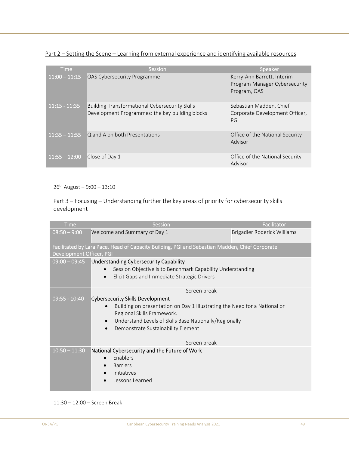Part 2 – Setting the Scene – Learning from external experience and identifying available resources

| $'$ Iime        | <b>Session</b>                                                                                           | Speaker                                                                     |
|-----------------|----------------------------------------------------------------------------------------------------------|-----------------------------------------------------------------------------|
| $11:00 - 11:15$ | OAS Cybersecurity Programme                                                                              | Kerry-Ann Barrett, Interim<br>Program Manager Cybersecurity<br>Program, OAS |
| $11:15 - 11:35$ | <b>Building Transformational Cybersecurity Skills</b><br>Development Programmes: the key building blocks | Sebastian Madden, Chief<br>Corporate Development Officer,<br>PGI            |
| $11:35 - 11:55$ | Q and A on both Presentations                                                                            | Office of the National Security<br>Advisor                                  |
| $11:55 - 12:00$ | Close of Day 1                                                                                           | Office of the National Security<br>Advisor                                  |

 $26^{th}$  August – 9:00 – 13:10

## Part 3 – Focusing – Understanding further the key areas of priority for cybersecurity skills development

| <b>Time</b>              | Session                                                                                                                                                                                                                                                                      | Facilitator                 |  |
|--------------------------|------------------------------------------------------------------------------------------------------------------------------------------------------------------------------------------------------------------------------------------------------------------------------|-----------------------------|--|
| $08:50 - 9:00$           | Welcome and Summary of Day 1                                                                                                                                                                                                                                                 | Brigadier Roderick Williams |  |
| Development Officer, PGI | Facilitated by Lara Pace, Head of Capacity Building, PGI and Sebastian Madden, Chief Corporate                                                                                                                                                                               |                             |  |
| $09:00 - 09:45$          | <b>Understanding Cybersecurity Capability</b><br>Session Objective is to Benchmark Capability Understanding<br>Elicit Gaps and Immediate Strategic Drivers                                                                                                                   |                             |  |
|                          | Screen break                                                                                                                                                                                                                                                                 |                             |  |
| $09:55 - 10:40$          | <b>Cybersecurity Skills Development</b><br>Building on presentation on Day 1 Illustrating the Need for a National or<br>Regional Skills Framework.<br>Understand Levels of Skills Base Nationally/Regionally<br>$\bullet$<br>Demonstrate Sustainability Element<br>$\bullet$ |                             |  |
|                          | Screen break                                                                                                                                                                                                                                                                 |                             |  |
| $10:50 - 11:30$          | National Cybersecurity and the Future of Work<br>Enablers<br><b>Barriers</b><br>Initiatives<br>Lessons Learned                                                                                                                                                               |                             |  |

11:30 – 12:00 – Screen Break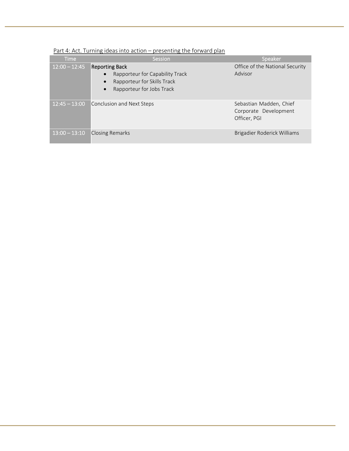| <b>Time</b>     | Session                                                                                                                                                     | Speaker                                                          |  |  |
|-----------------|-------------------------------------------------------------------------------------------------------------------------------------------------------------|------------------------------------------------------------------|--|--|
| $12:00 - 12:45$ | <b>Reporting Back</b><br>Rapporteur for Capability Track<br>$\bullet$<br>Rapporteur for Skills Track<br>$\bullet$<br>Rapporteur for Jobs Track<br>$\bullet$ | Office of the National Security<br>Advisor                       |  |  |
| $12:45 - 13:00$ | Conclusion and Next Steps                                                                                                                                   | Sebastian Madden, Chief<br>Corporate Development<br>Officer, PGI |  |  |
| $13:00 - 13:10$ | <b>Closing Remarks</b>                                                                                                                                      | Brigadier Roderick Williams                                      |  |  |

## Part 4: Act. Turning ideas into action – presenting the forward plan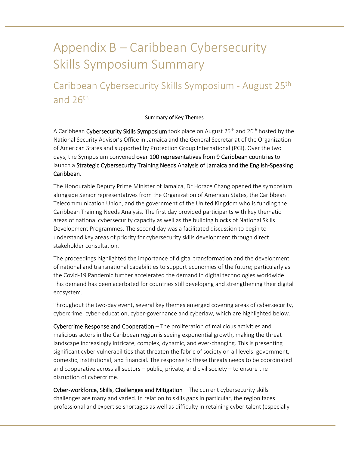# Appendix B – Caribbean Cybersecurity Skills Symposium Summary

## Caribbean Cybersecurity Skills Symposium ‐ August 25th and 26th

## Summary of Key Themes

A Caribbean Cybersecurity Skills Symposium took place on August 25<sup>th</sup> and 26<sup>th</sup> hosted by the National Security Advisor's Office in Jamaica and the General Secretariat of the Organization of American States and supported by Protection Group International (PGI). Over the two days, the Symposium convened over 100 representatives from 9 Caribbean countries to launch a Strategic Cybersecurity Training Needs Analysis of Jamaica and the English‐Speaking Caribbean.

The Honourable Deputy Prime Minister of Jamaica, Dr Horace Chang opened the symposium alongside Senior representatives from the Organization of American States, the Caribbean Telecommunication Union, and the government of the United Kingdom who is funding the Caribbean Training Needs Analysis. The first day provided participants with key thematic areas of national cybersecurity capacity as well as the building blocks of National Skills Development Programmes. The second day was a facilitated discussion to begin to understand key areas of priority for cybersecurity skills development through direct stakeholder consultation.

The proceedings highlighted the importance of digital transformation and the development of national and transnational capabilities to support economies of the future; particularly as the Covid‐19 Pandemic further accelerated the demand in digital technologies worldwide. This demand has been acerbated for countries still developing and strengthening their digital ecosystem.

Throughout the two‐day event, several key themes emerged covering areas of cybersecurity, cybercrime, cyber‐education, cyber‐governance and cyberlaw, which are highlighted below.

Cybercrime Response and Cooperation – The proliferation of malicious activities and malicious actors in the Caribbean region is seeing exponential growth, making the threat landscape increasingly intricate, complex, dynamic, and ever-changing. This is presenting significant cyber vulnerabilities that threaten the fabric of society on all levels: government, domestic, institutional, and financial. The response to these threats needs to be coordinated and cooperative across all sectors – public, private, and civil society – to ensure the disruption of cybercrime.

Cyber-workforce, Skills, Challenges and Mitigation – The current cybersecurity skills challenges are many and varied. In relation to skills gaps in particular, the region faces professional and expertise shortages as well as difficulty in retaining cyber talent (especially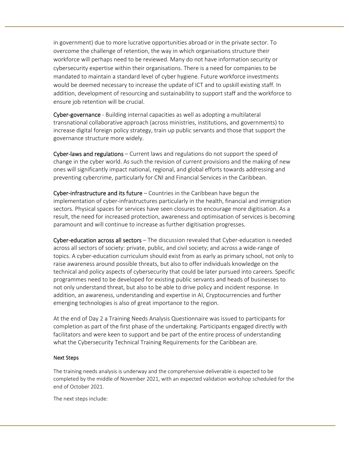in government) due to more lucrative opportunities abroad or in the private sector. To overcome the challenge of retention, the way in which organisations structure their workforce will perhaps need to be reviewed. Many do not have information security or cybersecurity expertise within their organisations. There is a need for companies to be mandated to maintain a standard level of cyber hygiene. Future workforce investments would be deemed necessary to increase the update of ICT and to upskill existing staff. In addition, development of resourcing and sustainability to support staff and the workforce to ensure job retention will be crucial.

Cyber-governance - Building internal capacities as well as adopting a multilateral transnational collaborative approach (across ministries, institutions, and governments) to increase digital foreign policy strategy, train up public servants and those that support the governance structure more widely.

Cyber-laws and regulations - Current laws and regulations do not support the speed of change in the cyber world. As such the revision of current provisions and the making of new ones will significantly impact national, regional, and global efforts towards addressing and preventing cybercrime, particularly for CNI and Financial Services in the Caribbean.

Cyber-infrastructure and its future  $-$  Countries in the Caribbean have begun the implementation of cyber‐infrastructures particularly in the health, financial and immigration sectors. Physical spaces for services have seen closures to encourage more digitisation. As a result, the need for increased protection, awareness and optimisation of services is becoming paramount and will continue to increase as further digitisation progresses.

Cyber-education across all sectors – The discussion revealed that Cyber-education is needed across all sectors of society: private, public, and civil society; and across a wide‐range of topics. A cyber‐education curriculum should exist from as early as primary school, not only to raise awareness around possible threats, but also to offer individuals knowledge on the technical and policy aspects of cybersecurity that could be later pursued into careers. Specific programmes need to be developed for existing public servants and heads of businesses to not only understand threat, but also to be able to drive policy and incident response. In addition, an awareness, understanding and expertise in AI, Cryptocurrencies and further emerging technologies is also of great importance to the region.

At the end of Day 2 a Training Needs Analysis Questionnaire was issued to participants for completion as part of the first phase of the undertaking. Participants engaged directly with facilitators and were keen to support and be part of the entire process of understanding what the Cybersecurity Technical Training Requirements for the Caribbean are.

## Next Steps

The training needs analysis is underway and the comprehensive deliverable is expected to be completed by the middle of November 2021, with an expected validation workshop scheduled for the end of October 2021.

The next steps include: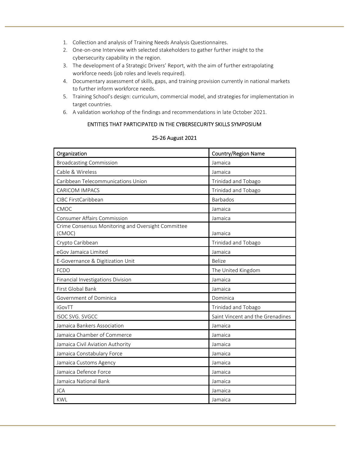- 1. Collection and analysis of Training Needs Analysis Questionnaires.
- 2. One‐on‐one Interview with selected stakeholders to gather further insight to the cybersecurity capability in the region.
- 3. The development of a Strategic Drivers' Report, with the aim of further extrapolating workforce needs (job roles and levels required).
- 4. Documentary assessment of skills, gaps, and training provision currently in national markets to further inform workforce needs.
- 5. Training School's design: curriculum, commercial model, and strategies for implementation in target countries.
- 6. A validation workshop of the findings and recommendations in late October 2021.

## ENTITIES THAT PARTICIPATED IN THE CYBERSECURITY SKILLS SYMPOSIUM

## 25‐26 August 2021

| Organization                                                 | <b>Country/Region Name</b>       |  |
|--------------------------------------------------------------|----------------------------------|--|
| <b>Broadcasting Commission</b>                               | Jamaica                          |  |
| Cable & Wireless                                             | Jamaica                          |  |
| Caribbean Telecommunications Union                           | Trinidad and Tobago              |  |
| <b>CARICOM IMPACS</b>                                        | Trinidad and Tobago              |  |
| CIBC FirstCaribbean                                          | <b>Barbados</b>                  |  |
| CMOC                                                         | Jamaica                          |  |
| <b>Consumer Affairs Commission</b>                           | Jamaica                          |  |
| Crime Consensus Monitoring and Oversight Committee<br>(CMOC) | Jamaica                          |  |
| Crypto Caribbean                                             | Trinidad and Tobago              |  |
| eGov Jamaica Limited<br>Jamaica                              |                                  |  |
| E-Governance & Digitization Unit                             | Belize                           |  |
| <b>FCDO</b>                                                  | The United Kingdom               |  |
| Financial Investigations Division                            | Jamaica                          |  |
| First Global Bank                                            | Jamaica                          |  |
| Government of Dominica                                       | Dominica                         |  |
| <b>iGovTT</b><br>Trinidad and Tobago                         |                                  |  |
| <b>ISOC SVG. SVGCC</b>                                       | Saint Vincent and the Grenadines |  |
| Jamaica Bankers Association                                  | Jamaica                          |  |
| Jamaica Chamber of Commerce                                  | Jamaica                          |  |
| Jamaica Civil Aviation Authority                             | Jamaica                          |  |
| Jamaica Constabulary Force                                   | Jamaica                          |  |
| Jamaica Customs Agency                                       | Jamaica                          |  |
| Jamaica Defence Force                                        | Jamaica                          |  |
| Jamaica National Bank                                        | Jamaica                          |  |
| <b>JCA</b>                                                   | Jamaica                          |  |
| <b>KWL</b>                                                   | Jamaica                          |  |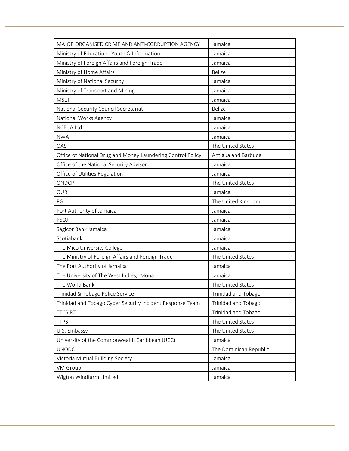| MAJOR ORGANISED CRIME AND ANTI-CORRUPTION AGENCY            | Jamaica                |  |
|-------------------------------------------------------------|------------------------|--|
| Ministry of Education, Youth & Information                  | Jamaica                |  |
| Ministry of Foreign Affairs and Foreign Trade               | Jamaica                |  |
| Ministry of Home Affairs                                    | <b>Belize</b>          |  |
| Ministry of National Security                               | Jamaica                |  |
| Ministry of Transport and Mining                            | Jamaica                |  |
| <b>MSET</b>                                                 | Jamaica                |  |
| National Security Council Secretariat                       | <b>Belize</b>          |  |
| National Works Agency                                       | Jamaica                |  |
| NCB JA Ltd.                                                 | Jamaica                |  |
| NWA                                                         | Jamaica                |  |
| OAS                                                         | The United States      |  |
| Office of National Drug and Money Laundering Control Policy | Antigua and Barbuda    |  |
| Office of the National Security Advisor                     | Jamaica                |  |
| Office of Utilities Regulation                              | Jamaica                |  |
| ONDCP                                                       | The United States      |  |
| <b>OUR</b>                                                  | Jamaica                |  |
| PGI                                                         | The United Kingdom     |  |
| Port Authority of Jamaica                                   | Jamaica                |  |
| PSOJ                                                        | Jamaica                |  |
| Sagicor Bank Jamaica                                        | Jamaica                |  |
| Scotiabank                                                  | Jamaica                |  |
| The Mico University College                                 | Jamaica                |  |
| The Ministry of Foreign Affairs and Foreign Trade           | The United States      |  |
| The Port Authority of Jamaica                               | Jamaica                |  |
| The University of The West Indies, Mona                     | Jamaica                |  |
| The World Bank                                              | The United States      |  |
| Trinidad & Tobago Police Service                            | Trinidad and Tobago    |  |
| Trinidad and Tobago Cyber Security Incident Response Team   | Trinidad and Tobago    |  |
| <b>TTCSIRT</b>                                              | Trinidad and Tobago    |  |
| <b>TTPS</b>                                                 | The United States      |  |
| U.S. Embassy                                                | The United States      |  |
| University of the Commonwealth Caribbean (UCC)              | Jamaica                |  |
| <b>UNODC</b>                                                | The Dominican Republic |  |
| Victoria Mutual Building Society                            | Jamaica                |  |
| VM Group                                                    | Jamaica                |  |
| Wigton Windfarm Limited                                     | Jamaica                |  |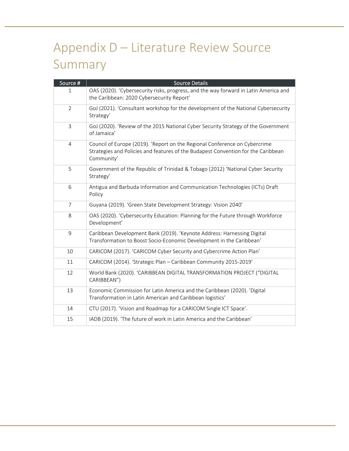# Appendix D – Literature Review Source Summary

| Source #       | <b>Source Details</b>                                                                                                                                                         |
|----------------|-------------------------------------------------------------------------------------------------------------------------------------------------------------------------------|
| 1              | OAS (2020). 'Cybersecurity risks, progress, and the way forward in Latin America and<br>the Caribbean: 2020 Cybersecurity Report'                                             |
| $\overline{2}$ | GoJ (2021). 'Consultant workshop for the development of the National Cybersecurity<br>Strategy'                                                                               |
| 3              | GoJ (2020). 'Review of the 2015 National Cyber Security Strategy of the Government<br>of Jamaica'                                                                             |
| 4              | Council of Europe (2019). 'Report on the Regional Conference on Cybercrime<br>Strategies and Policies and features of the Budapest Convention for the Caribbean<br>Community' |
| 5              | Government of the Republic of Trinidad & Tobago (2012) 'National Cyber Security<br>Strategy'                                                                                  |
| 6              | Antigua and Barbuda Information and Communication Technologies (ICTs) Draft<br>Policy                                                                                         |
| $\overline{7}$ | Guyana (2019). 'Green State Development Strategy: Vision 2040'                                                                                                                |
| 8              | OAS (2020). 'Cybersecurity Education: Planning for the Future through Workforce<br>Development'                                                                               |
| 9              | Caribbean Development Bank (2019). 'Keynote Address: Harnessing Digital<br>Transformation to Boost Socio-Economic Development in the Caribbean'                               |
| 10             | CARICOM (2017). 'CARICOM Cyber Security and Cybercrime Action Plan'                                                                                                           |
| 11             | CARICOM (2014). 'Strategic Plan - Caribbean Community 2015-2019'                                                                                                              |
| 12             | World Bank (2020). 'CARIBBEAN DIGITAL TRANSFORMATION PROJECT ("DIGITAL<br>CARIBBEAN")                                                                                         |
| 13             | Economic Commission for Latin America and the Caribbean (2020). 'Digital<br>Transformation in Latin American and Caribbean logistics'                                         |
| 14             | CTU (2017). 'Vision and Roadmap for a CARICOM Single ICT Space'.                                                                                                              |
| 15             | IADB (2019). 'The future of work in Latin America and the Caribbean'                                                                                                          |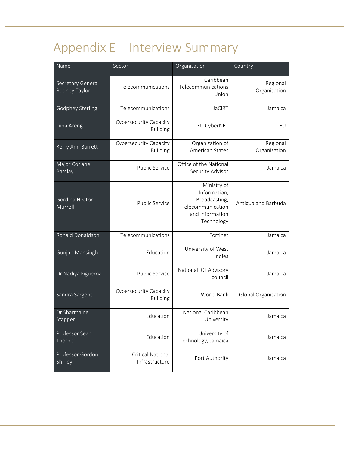# Appendix E – Interview Summary

| Name                               | Sector                                     | Organisation                                                                                       | Country                  |
|------------------------------------|--------------------------------------------|----------------------------------------------------------------------------------------------------|--------------------------|
| Secretary General<br>Rodney Taylor | Telecommunications                         | Caribbean<br>Telecommunications<br>Union                                                           | Regional<br>Organisation |
| <b>Godphey Sterling</b>            | Telecommunications                         | <b>JaCIRT</b>                                                                                      | Jamaica                  |
| Liina Areng                        | Cybersecurity Capacity<br><b>Building</b>  | EU CyberNET                                                                                        | EU                       |
| Kerry Ann Barrett                  | Cybersecurity Capacity<br><b>Building</b>  | Organization of<br>American States                                                                 | Regional<br>Organisation |
| Major Corlane<br>Barclay           | Public Service                             | Office of the National<br>Security Advisor                                                         | Jamaica                  |
| Gordina Hector-<br>Murrell         | <b>Public Service</b>                      | Ministry of<br>Information,<br>Broadcasting,<br>Telecommunication<br>and Information<br>Technology | Antigua and Barbuda      |
| Ronald Donaldson                   | Telecommunications                         | Fortinet                                                                                           | Jamaica                  |
| Gunjan Mansingh                    | Education                                  | University of West<br>Indies                                                                       | Jamaica                  |
| Dr Nadiya Figueroa                 | <b>Public Service</b>                      | National ICT Advisory<br>council                                                                   | Jamaica                  |
| Sandra Sargent                     | Cybersecurity Capacity<br><b>Building</b>  | World Bank                                                                                         | Global Organisation      |
| Dr Sharmaine<br>Stapper            | Education                                  | National Caribbean<br>University                                                                   | Jamaica                  |
| Professor Sean<br>Thorpe           | Education                                  | University of<br>Technology, Jamaica                                                               | Jamaica                  |
| Professor Gordon<br>Shirley        | <b>Critical National</b><br>Infrastructure | Port Authority                                                                                     | Jamaica                  |